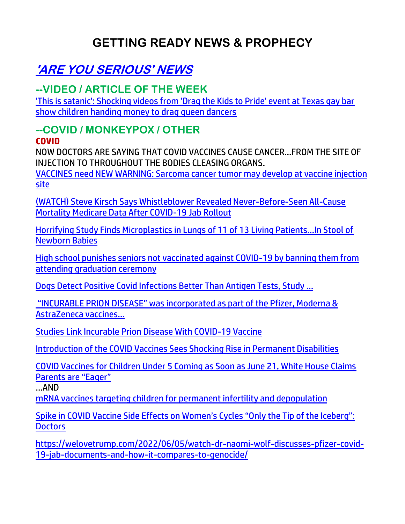## **GETTING READY NEWS & PROPHECY**

## **'ARE YOU SERIOUS' NEWS**

## **--VIDEO / ARTICLE OF THE WEEK**

['This is satanic': Shocking videos from 'Drag the Kids to Pride' event at Texas gay bar](https://www.theblaze.com/news/drag-queen-show-children-gay-bar)  [show children handing money to drag queen dancers](https://www.theblaze.com/news/drag-queen-show-children-gay-bar) 

## **--COVID / MONKEYPOX / OTHER**

#### **COVID**

NOW DOCTORS ARE SAYING THAT COVID VACCINES CAUSE CANCER…FROM THE SITE OF INJECTION TO THROUGHOUT THE BODIES CLEASING ORGANS.

[VACCINES need NEW WARNING: Sarcoma cancer tumor may develop at vaccine injection](https://www.naturalnews.com/2022-06-06-sarcoma-cancer-tumors-develop-at-injection-site.html)  [site](https://www.naturalnews.com/2022-06-06-sarcoma-cancer-tumors-develop-at-injection-site.html)

[\(WATCH\) Steve Kirsch Says Whistleblower Revealed Never-Before-Seen All-Cause](https://welovetrump.com/2022/06/05/watch-steve-kirsch-says-whistleblower-revealed-never-before-seen-all-cause-mortality-medicare-data-after-covid-19-jab-rollout/)  [Mortality Medicare Data After COVID-19 Jab Rollout](https://welovetrump.com/2022/06/05/watch-steve-kirsch-says-whistleblower-revealed-never-before-seen-all-cause-mortality-medicare-data-after-covid-19-jab-rollout/)

[Horrifying Study Finds Microplastics in Lungs of 11 of 13 Living Patients…In Stool of](https://100percentfedup.com/horrifying-study-finds-microplastics-in-lungs-of-11-of-13-living-patientsin-stool-of-newborn-babies/)  [Newborn Babies](https://100percentfedup.com/horrifying-study-finds-microplastics-in-lungs-of-11-of-13-living-patientsin-stool-of-newborn-babies/)

[High school punishes seniors not vaccinated against COVID-19 by banning them from](https://link.theblaze.com/click/27923853.917123/aHR0cHM6Ly93d3cudGhlYmxhemUuY29tL25ld3MvaGlnaC1zY2hvb2wtYmFycy1zZW5pb3JzLW5vdC12YWNjaW5hdGVkLWNvdmlkLWdyYWR1YXRpb24tY2VyZW1vbnk_dXRtX3NvdXJjZT10aGVibGF6ZS03RGF5VHJlbmRpbmdUZXN0JnV0bV9tZWRpdW09ZW1haWwmdXRtX2NhbXBhaWduPUFmdGVybm9vbiBBdXRvIFRyZW5kaW5nIDcgRGF5IEVuZ2FnZWQgMjAyMi0wNi0wMiZ1dG1fdGVybT1BQ1RJVkUgTElTVCAtIDcgRGF5IEVuZ2FnZW1lbnQ/61f82015384ca325d2cdab60C29008a86)  [attending graduation ceremony](https://link.theblaze.com/click/27923853.917123/aHR0cHM6Ly93d3cudGhlYmxhemUuY29tL25ld3MvaGlnaC1zY2hvb2wtYmFycy1zZW5pb3JzLW5vdC12YWNjaW5hdGVkLWNvdmlkLWdyYWR1YXRpb24tY2VyZW1vbnk_dXRtX3NvdXJjZT10aGVibGF6ZS03RGF5VHJlbmRpbmdUZXN0JnV0bV9tZWRpdW09ZW1haWwmdXRtX2NhbXBhaWduPUFmdGVybm9vbiBBdXRvIFRyZW5kaW5nIDcgRGF5IEVuZ2FnZWQgMjAyMi0wNi0wMiZ1dG1fdGVybT1BQ1RJVkUgTElTVCAtIDcgRGF5IEVuZ2FnZW1lbnQ/61f82015384ca325d2cdab60C29008a86)

[Dogs Detect Positive Covid Infections Better Than](https://www.forbes.com/sites/madelinehalpert/2022/06/01/dogs-detect-positive-covid-infections-better-than-antigen-tests-study-suggests/) Antigen Tests, Study ...

"INCURABLE PRION DISEASE" was incorporated as part of the Pfizer, Moderna & AstraZeneca vaccines…

Studies Link Incurable Prion [Disease With COVID-19 Vaccine](https://lists.youmaker.com/links/xLjv5FGiOM/Jlid8tcrj/7xAbPNiP2/AjtiLN2tnT)

[Introduction of the COVID Vaccines Sees Shocking Rise in Permanent Disabilities](https://www.thegatewaypundit.com/2022/06/introduction-covid-vaccines-sees-shocking-rise-permanent-disabilities/?utm_source=Gab&utm_campaign=websitesharingbuttons)

[COVID Vaccines for Children Under 5 Coming as Soon as June 21, White House Claims](https://welovetrump.com/2022/06/03/covid-vaccines-for-children-under-5-coming-as-soon-as-june-21-white-house-claims-parents-are-eager/)  [Parents are "Eager"](https://welovetrump.com/2022/06/03/covid-vaccines-for-children-under-5-coming-as-soon-as-june-21-white-house-claims-parents-are-eager/)

…AND

[mRNA vaccines targeting children for permanent infertility and depopulation](https://ce-publiclw.naturalnews.com/ct.asp?id=B5E512115315005430379F2377F09F207AC801D320B388779F01D87ECAF3A5D77AAF4BDAAA22781286E1F53398D1683F&ct=4aeUsz4AAABCWmgzMUFZJlNZ4bM%2fSgAAF5mAAAPv8Brj3IAgAEEU8U8pkNPTSMjahTRoA0AAahNYv1eYNZnY6JUqVR5qRIayBjyO1txXmUe4xGQJ1lEGOQx%2bLuSKcKEhw2Z%2blA%3d%3d)

[Spike in COVID Vaccine Side Effects on Women's Cycles "Only the Tip of the Iceberg":](https://lists.youmaker.com/links/ronNAKQlq9/Jlid8tcrj/7xAbPNiP2/9nWOZyUjzm)  **[Doctors](https://lists.youmaker.com/links/ronNAKQlq9/Jlid8tcrj/7xAbPNiP2/9nWOZyUjzm)** 

[https://welovetrump.com/2022/06/05/watch-dr-naomi-wolf-discusses-pfizer-covid-](https://welovetrump.com/2022/06/05/watch-dr-naomi-wolf-discusses-pfizer-covid-19-jab-documents-and-how-it-compares-to-genocide/)[19-jab-documents-and-how-it-compares-to-genocide/](https://welovetrump.com/2022/06/05/watch-dr-naomi-wolf-discusses-pfizer-covid-19-jab-documents-and-how-it-compares-to-genocide/)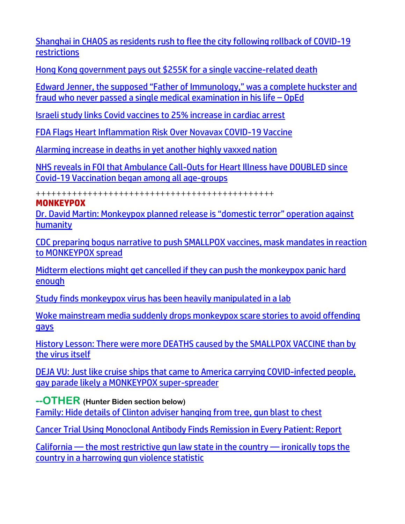[Shanghai in CHAOS as residents rush to flee the city following rollback of COVID-19](https://www.naturalnews.com/2022-06-03-shanghai-residents-flee-city-rollback-covid-restrictions.html)  [restrictions](https://www.naturalnews.com/2022-06-03-shanghai-residents-flee-city-rollback-covid-restrictions.html)

[Hong Kong government pays out \\$255K for a single vaccine-related death](https://www.naturalnews.com/2022-06-03-hk-government-pays-out-vaccine-related-death.html)

[Edward Jenner, the supposed "Father of Immunology," was a complete huckster and](https://www.naturalnews.com/2022-06-03-edward-jenner-father-of-immunology-complete-huckster.html)  [fraud who never passed a single medical examination in his life](https://www.naturalnews.com/2022-06-03-edward-jenner-father-of-immunology-complete-huckster.html) – OpEd

[Israeli study links Covid vaccines to 25% increase in cardiac arrest](https://www.israel365news.com/269952/israeli-study-links-covid-vaccines-to-25-increase-in-cardiac-arrest/)

[FDA Flags Heart Inflammation Risk Over Novavax COVID-19 Vaccine](https://lists.youmaker.com/links/0MFhGPQUk6/Jlid8tcrj/7xAbPNiP2/H8rnt8UzgV)

[Alarming increase in deaths in yet another highly vaxxed nation](https://www.wnd.com/2022/06/alarming-increase-deaths-yet-another-highly-vaxxed-nation/)

[NHS reveals in FOI that Ambulance Call-Outs for Heart Illness have DOUBLED since](https://expose-news.com/2022/06/06/nhs-ambulance-call-outs-heart-doubled-since-covid-vaccination/)  [Covid-19 Vaccination began among all age-groups](https://expose-news.com/2022/06/06/nhs-ambulance-call-outs-heart-doubled-since-covid-vaccination/)

++++++++++++++++++++++++++++++++++++++++++++++

#### **MONKEYPOX**

Dr. David Martin: Monkeypox planned release is "domestic terror" operation against humanity

[CDC preparing bogus narrative to push SMALLPOX vaccines, mask mandates in reaction](https://www.naturalnews.com/2022-06-05-cdc-preparing-bogus-narrative-smallpox-vaccines-stop-monkeypox.html)  [to MONKEYPOX spread](https://www.naturalnews.com/2022-06-05-cdc-preparing-bogus-narrative-smallpox-vaccines-stop-monkeypox.html)

[Midterm elections might get cancelled if they can push the monkeypox panic hard](https://www.naturalnews.com/2022-06-06-midterm-elections-may-get-canceled-monkeypox-pandemic.html)  [enough](https://www.naturalnews.com/2022-06-06-midterm-elections-may-get-canceled-monkeypox-pandemic.html)

[Study finds monkeypox virus has been heavily manipulated in a lab](https://www.naturalnews.com/2022-06-03-study-finds-monkeypox-virus-manipulated-in-lab.html)

[Woke mainstream media suddenly drops monkeypox scare stories to avoid offending](https://www.naturalnews.com/2022-06-05-woke-media-monkeypox-scare-offending-gays.html)  [gays](https://www.naturalnews.com/2022-06-05-woke-media-monkeypox-scare-offending-gays.html)

[History Lesson: There were more DEATHS caused by the SMALLPOX VACCINE than by](https://www.naturalnews.com/2022-06-04-more-deaths-caused-by-smallpox-vaccine-than-virus-itself.html)  [the virus itself](https://www.naturalnews.com/2022-06-04-more-deaths-caused-by-smallpox-vaccine-than-virus-itself.html)

[DEJA VU: Just like cruise ships that came to America carrying COVID-infected people,](https://www.naturalnews.com/2022-06-04-deja-vu-cruise-ships-covid-gay-parade-monkeypox-super-spreader.html)  [gay parade likely a MONKEYPOX super-spreader](https://www.naturalnews.com/2022-06-04-deja-vu-cruise-ships-covid-gay-parade-monkeypox-super-spreader.html)

**--OTHER (Hunter Biden section below)** [Family: Hide details of Clinton adviser hanging from tree, gun blast to chest](https://www.wnd.com/2022/06/family-hide-details-clinton-adviser-hanging-tree-shotgun-blast-chest/)

[Cancer Trial Using Monoclonal Antibody Finds Remission in Every Patient: Report](https://lists.youmaker.com/links/84g4yBVh5Z/Jlid8tcrj/7xAbPNiP2/zYPgUI3U9i) 

California — [the most restrictive gun law state in the country](https://link.theblaze.com/click/27964717.1141762/aHR0cHM6Ly93d3cudGhlYmxhemUuY29tL25ld3MvY2FsaWZvcm5pYS1hY3RpdmUtc2hvb3Rlci1pbmNpZGVudHMtZ3VuLWNvbnRyb2w_dXRtX3NvdXJjZT10aGVibGF6ZS1icmVha2luZyZ1dG1fbWVkaXVtPWVtYWlsJnV0bV9jYW1wYWlnbj0yMDIyMDYwNlRyZW5kaW5nLUNhR3VuTGF3cyZ1dG1fdGVybT1BQ1RJVkUgTElTVCAtIFRoZUJsYXplIEJyZWFraW5nIE5ld3M/61f82015384ca325d2cdab60Cfb03ea82) — ironically tops the [country in a harrowing gun violence statistic](https://link.theblaze.com/click/27964717.1141762/aHR0cHM6Ly93d3cudGhlYmxhemUuY29tL25ld3MvY2FsaWZvcm5pYS1hY3RpdmUtc2hvb3Rlci1pbmNpZGVudHMtZ3VuLWNvbnRyb2w_dXRtX3NvdXJjZT10aGVibGF6ZS1icmVha2luZyZ1dG1fbWVkaXVtPWVtYWlsJnV0bV9jYW1wYWlnbj0yMDIyMDYwNlRyZW5kaW5nLUNhR3VuTGF3cyZ1dG1fdGVybT1BQ1RJVkUgTElTVCAtIFRoZUJsYXplIEJyZWFraW5nIE5ld3M/61f82015384ca325d2cdab60Cfb03ea82)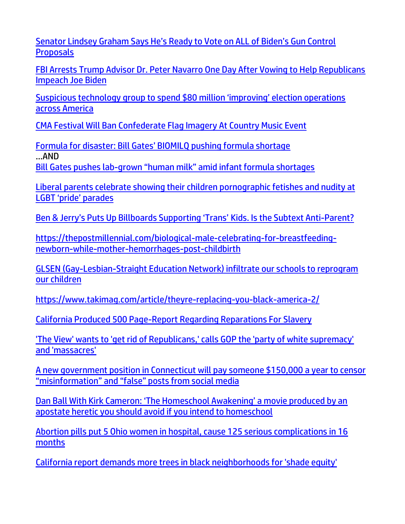[Senator Lindsey Graham Says He's Ready to Vote on ALL of Biden's Gun Control](https://welovetrump.com/2022/06/03/senator-lindsey-graham-says-hes-ready-to-vote-on-all-of-bidens-gun-control-proposals/)  **[Proposals](https://welovetrump.com/2022/06/03/senator-lindsey-graham-says-hes-ready-to-vote-on-all-of-bidens-gun-control-proposals/)** 

[FBI Arrests Trump Advisor Dr. Peter Navarro One Day After Vowing to Help Republicans](https://welovetrump.com/2022/06/03/fbi-arrests-trump-advisor-dr-peter-navarro-one-day-after-vowing-to-help-republicans-impeach-joe-biden/)  [Impeach Joe Biden](https://welovetrump.com/2022/06/03/fbi-arrests-trump-advisor-dr-peter-navarro-one-day-after-vowing-to-help-republicans-impeach-joe-biden/)

[Suspicious technology group to spend \\$80 million 'improving' election operations](https://www.lifesitenews.com/news/suspicious-technology-group-to-spend-80-million-improving-election-operations-across-america/?utm_source=top_news&utm_campaign=usa)  [across America](https://www.lifesitenews.com/news/suspicious-technology-group-to-spend-80-million-improving-election-operations-across-america/?utm_source=top_news&utm_campaign=usa)

[CMA Festival Will Ban Confederate Flag Imagery At Country Music Event](https://welovetrump.com/2022/06/03/cma-festival-will-ban-confederate-flag-imagery-at-country-music-event/)

[Formula for disaster: Bill Gates' BIOMILQ pushing formula shortage](https://ratherexposethem.org/2022/06/03/formula-for-disaster-bill-gates-biomilq-pushing-formula-shortage/) …AND Bill Gates pushes lab-[grown "human milk" amid infant formula shortages](https://www.naturalnews.com/2022-06-06-bill-gates-pushes-lab-made-human-milk.html)

[Liberal parents celebrate showing their children pornographic fetishes and nudity at](https://www.lifesitenews.com/blogs/liberal-parents-celebrate-showing-their-kids-pornographic-fetishes-and-nudity-at-lgbt-pride-parades/?utm_source=featured&utm_campaign=usa)  [LGBT 'pride' parades](https://www.lifesitenews.com/blogs/liberal-parents-celebrate-showing-their-kids-pornographic-fetishes-and-nudity-at-lgbt-pride-parades/?utm_source=featured&utm_campaign=usa)

[Ben & Jerry's Puts Up Billboards Supporting 'Trans'](https://welovetrump.com/2022/06/04/ben-jerrys-puts-up-billboards-supporting-trans-kids/) Kids. Is the Subtext Anti-Parent?

[https://thepostmillennial.com/biological-male-celebrating-for-breastfeeding](https://thepostmillennial.com/biological-male-celebrating-for-breastfeeding-newborn-while-mother-hemorrhages-post-childbirth)[newborn-while-mother-hemorrhages-post-childbirth](https://thepostmillennial.com/biological-male-celebrating-for-breastfeeding-newborn-while-mother-hemorrhages-post-childbirth)

[GLSEN \(Gay-Lesbian-Straight Education Network\) infiltrate our schools to reprogram](https://ratherexposethem.org/2022/06/02/glsen-gay-lesbian-straight-education-network-infiltrate-our-schools-to-reprogram-our-children/)  [our children](https://ratherexposethem.org/2022/06/02/glsen-gay-lesbian-straight-education-network-infiltrate-our-schools-to-reprogram-our-children/)

<https://www.takimag.com/article/theyre-replacing-you-black-america-2/>

[California Produced 500 Page-Report Regarding Reparations For Slavery](https://welovetrump.com/2022/06/03/california-produced-500-page-report-regarding-reparations-for-slavery/)

['The View' wants to 'get rid of Republicans,' calls GOP the 'party of white supremacy'](https://www.theblaze.com/shows/the-rick-bubba-show/the-view-get-rid-republicans)  [and 'massacres'](https://www.theblaze.com/shows/the-rick-bubba-show/the-view-get-rid-republicans) 

[A new government position in Connecticut will pay someone \\$150,000 a year to censor](https://www.naturalnews.com/2022-06-05-connecticut-government-censorship-misinformation-false-posts.html)  ["misinformation" and "false" posts from social media](https://www.naturalnews.com/2022-06-05-connecticut-government-censorship-misinformation-false-posts.html)

[Dan Ball With Kirk Cameron: 'The Homeschool Awakening' a movie produced by an](https://ratherexposethem.org/2022/06/05/dan-ball-with-kirk-cameron-the-homeschool-awakening-a-movie-produced-by-an-apostate-heretic-you-should-avoid-if-you-intend-to-homeschool/)  [apostate heretic you should avoid if you intend to homeschool](https://ratherexposethem.org/2022/06/05/dan-ball-with-kirk-cameron-the-homeschool-awakening-a-movie-produced-by-an-apostate-heretic-you-should-avoid-if-you-intend-to-homeschool/)

[Abortion pills put 5 Ohio women in hospital, cause 125 serious complications in 16](https://www.lifesitenews.com/news/ohio-in-just-16-months-abortion-pills-caused-125-serious-complications-put-5-women-in-the-hospital/)  [months](https://www.lifesitenews.com/news/ohio-in-just-16-months-abortion-pills-caused-125-serious-complications-put-5-women-in-the-hospital/)

[California report demands more trees in black neighborhoods for 'shade equity'](https://www.wnd.com/2022/06/california-report-demands-trees-black-neighborhoods-shade-equity/)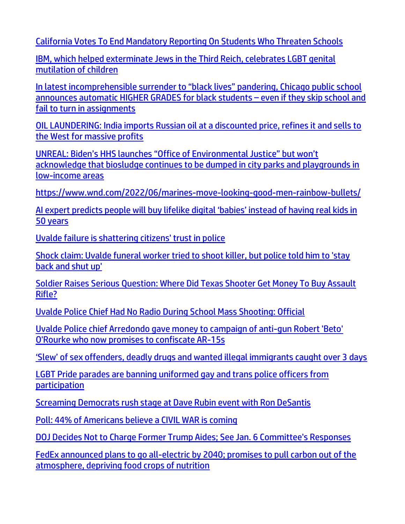[California Votes To End Mandatory Reporting On Students Who Threaten Schools](https://dailycaller.com/2022/05/27/california-votes-mandatory-reporting-students-threaten-schools-aclu/)

[IBM, which helped exterminate Jews in the Third Reich, celebrates LGBT genital](https://www.naturalnews.com/2022-06-03-ibm-celebrates-lgbt-genital-mutilation-children.html)  [mutilation of](https://www.naturalnews.com/2022-06-03-ibm-celebrates-lgbt-genital-mutilation-children.html) children

[In latest incomprehensible surrender to "black lives" pandering, Chicago public school](https://www.naturalnews.com/2022-06-04-chicago-public-school-higher-grades-black-racism.html)  [announces automatic HIGHER GRADES for black students](https://www.naturalnews.com/2022-06-04-chicago-public-school-higher-grades-black-racism.html) – even if they skip school and [fail to turn in assignments](https://www.naturalnews.com/2022-06-04-chicago-public-school-higher-grades-black-racism.html)

[OIL LAUNDERING: India imports Russian oil at a discounted price, refines it and sells to](https://www.naturalnews.com/2022-06-03-india-imports-cheap-russian-oil-sells-west.html)  [the West for massive profits](https://www.naturalnews.com/2022-06-03-india-imports-cheap-russian-oil-sells-west.html)

[UNREAL: Biden's HHS launches "Office of Environmental Justice" but won't](https://www.naturalnews.com/2022-06-03-biden-hhs-environmental-justice-biosludge-parks-playground.html)  [acknowledge that biosludge continues to be dumped in city parks and playgrounds in](https://www.naturalnews.com/2022-06-03-biden-hhs-environmental-justice-biosludge-parks-playground.html)  [low-income areas](https://www.naturalnews.com/2022-06-03-biden-hhs-environmental-justice-biosludge-parks-playground.html)

<https://www.wnd.com/2022/06/marines-move-looking-good-men-rainbow-bullets/>

[AI expert predicts people will buy lifelike digital 'babies' instead of having real kids in](https://www.lifesitenews.com/news/ai-expert-predicts-people-will-buy-lifelike-digital-babies-instead-of-having-real-kids-in-50-years/?utm_source=top_news&utm_campaign=usa)  [50 years](https://www.lifesitenews.com/news/ai-expert-predicts-people-will-buy-lifelike-digital-babies-instead-of-having-real-kids-in-50-years/?utm_source=top_news&utm_campaign=usa)

[Uvalde failure is shattering citizens' trust in police](https://ce-publiclw.naturalnews.com/ct.asp?id=AD9B0C824EC9211ABC96EA45567C61CDB2E266BE29DD2B49965F1046EF5E80A8A9DD5F721CF0B89A651B3DA114E489CB&ct=4aeUsz4AAABCWmgzMUFZJlNZd7Y1ZAAAF5mAAAPv8D7j3IAgAFCgAGgAAKm0mNE9Ro09JppvVI7sMXpeSIRzmr660or6nCWbE6JVVeXlFLNgMe9jLJOhYBzQzH4u5IpwoSDvbGrI)

[Shock claim: Uvalde funeral worker tried to shoot killer, but police told him to 'stay](https://www.wnd.com/2022/06/shock-claim-uvalde-funeral-worker-tried-shoot-killer-police-told-stay-back-shut/)  [back and shut up'](https://www.wnd.com/2022/06/shock-claim-uvalde-funeral-worker-tried-shoot-killer-police-told-stay-back-shut/)

[Soldier Raises Serious Question: Where Did Texas Shooter Get Money To Buy Assault](https://welovetrump.com/2022/06/03/soldier-raises-serious-question-where-did-texas-shooter-get-money-to-buy-assault-rifle/)  [Rifle?](https://welovetrump.com/2022/06/03/soldier-raises-serious-question-where-did-texas-shooter-get-money-to-buy-assault-rifle/)

[Uvalde Police Chief Had No Radio During School Mass Shooting: Official](https://lists.youmaker.com/links/ronNAKQlq9/Jlid8tcrj/7xAbPNiP2/J8zkRBY1hT)

[Uvalde Police chief Arredondo gave money to campaign of anti-gun Robert 'Beto'](https://ce-publiclw.naturalnews.com/ct.asp?id=99C5069FA45702755DF2CD05ABB7C7A10BF33AA436B5845F2DA9E43ECD502C781101BF0D0B2151FFBE26A397E1D95DD3&ct=4aeUs2wAAABCWmgzMUFZJlNZQ9fXHwAAHJmAAAPxED%2fv36AgAGhFP1IaNqYgPU0eU9QqeJPU3pT1GgaAyRjRKkAA5rZ6%2bVpMawvgTK6TzsC9CNty0jX49GlAOqh3hWqlT2GrRziCvmWzoAxmqNYGPNKTZGSUQJYF0f4u5IpwoSCHr64%2b)  [O'Rourke who now promises to confiscate AR-15s](https://ce-publiclw.naturalnews.com/ct.asp?id=99C5069FA45702755DF2CD05ABB7C7A10BF33AA436B5845F2DA9E43ECD502C781101BF0D0B2151FFBE26A397E1D95DD3&ct=4aeUs2wAAABCWmgzMUFZJlNZQ9fXHwAAHJmAAAPxED%2fv36AgAGhFP1IaNqYgPU0eU9QqeJPU3pT1GgaAyRjRKkAA5rZ6%2bVpMawvgTK6TzsC9CNty0jX49GlAOqh3hWqlT2GrRziCvmWzoAxmqNYGPNKTZGSUQJYF0f4u5IpwoSCHr64%2b)

['Slew' of sex offenders, deadly drugs and wanted illegal immigrants caught over 3 days](https://delivery.email.saraacarter.com/GUIDARZE?id=153976=eh4CVwZWCQQBTFZUU1tXDAIHAQwAB1dVBVFRUVoHVwsAAQFRUgMFUQQGVQoHXwFRDwMeXlxdAxEKDCRUVABaVBcBXQtPVAYGBAkABFUPAAADBlQMBwMaChURFEADThxcXA5bEFYXSR1SXVJbChdGVUVTA1dWQxIHE0sHXFROdG1wJnM0aSAPWlNMRQE=&fl=URZGFkBfHxxDVV9XC1xBRl5XERpdVAMMBksHXFROUFRQAVk=&ext=dD1leUpoYkdjaU9pSklVekkxTmlJc0luUjVjQ0k2SWtwWFZDSjkuZXlKd0lqcGJiblZzYkN4dWRXeHNMQ0pvZEhSd2N6b3ZMM05oY21GaFkyRnlkR1Z5TG1OdmJTOXpiR1YzTFc5bUxYTmxlQzF2Wm1abGJtUmxjbk10WkdWaFpHeDVMV1J5ZFdkekxXRnVaQzEzWVc1MFpXUXRhV3hzWldkaGJDMXBiVzFwWjNKaGJuUnpMV05oZFdkb2RDMXZkbVZ5TFRNdFpHRjVjeThfZFhSdFgzTnZkWEpqWlQxcVpXVnVaeVpxWlcwOVl6VmhNemcxTnpCak1HRmtZMk5qWmpoaFlqTmtZemxpWWpjd01qTXpaak1pTEc1MWJHd3NNU3htWVd4elpTeG1ZV3h6WlN3aVpHUTFNRGN6TW1RdE0yTm1ZUzAwTldJM0xUZzFNVEV0Tm1WbE1tRXdOakJoT0Rjeklpd2lZakptTXpjNE5XRXRZems0WmkwME5UTmtMV0V6WmprdE1XUTVOR015WldRd09UZGtJaXdpT0dGbU5UY3dPREF0T1dNeE15MDBZbVF6TFdJNE5tWXRNR0l6WXpWa1pqa3haakZpSWl3aWFIUjBjSE02THk5ellYSmhZV05oY25SbGNpNWpiMjB2YzJ4bGR5MXZaaTF6WlhndGIyWm1aVzVrWlhKekxXUmxZV1JzZVMxa2NuVm5jeTFoYm1RdGQyRnVkR1ZrTFdsc2JHVm5ZV3d0YVcxdGFXZHlZVzUwY3kxallYVm5hSFF0YjNabGNpMHpMV1JoZVhNdklpd2lZemR3TTE4d0lpd2laVzFoYVd3aUxDSkVVeUpkTENKcFlYUWlPakUyTlRRd01ESXdOamQ5LjlYVnRjSGZZaFh4eE44NnpRZ3J3RHhQVjEyalZwcDhHU2cwTXYyaWpsOGM=)

[LGBT Pride parades are banning uniformed gay and trans police officers from](https://www.lifesitenews.com/news/lgbt-pride-parades-are-banning-uniformed-gay-and-trans-police-officers-from-participation/?utm_source=top_news&utm_campaign=usa)  [participation](https://www.lifesitenews.com/news/lgbt-pride-parades-are-banning-uniformed-gay-and-trans-police-officers-from-participation/?utm_source=top_news&utm_campaign=usa)

[Screaming Democrats rush stage at Dave Rubin event with Ron DeSantis](https://link.theblaze.com/click/27948005.1022886/aHR0cHM6Ly93d3cudGhlYmxhemUuY29tL25ld3Mvc2NyZWFtaW5nLWRlbW9jcmF0cy1kYXZlLXJ1YmluLWRlc2FudGlzP3V0bV9zb3VyY2U9dGhlYmxhemUtZGFpbHlBTSZ1dG1fbWVkaXVtPWVtYWlsJnV0bV9jYW1wYWlnbj1EYWlseS1OZXdzbGV0dGVyX19BTSAyMDIyLTA2LTA0JnV0bV90ZXJtPUFDVElWRSBMSVNUIC0gVGhlQmxhemUgRGFpbHkgQU0/61f82015384ca325d2cdab60C13c6c1d1)

[Poll: 44% of Americans believe a CIVIL WAR is coming](https://www.naturalnews.com/2022-06-03-poll-44percent-americans-believe-civil-war-coming.html)

[DOJ Decides Not to Charge Former Trump Aides;](https://lists.youmaker.com/links/0MFhGPQUk6/Jlid8tcrj/7xAbPNiP2/YBRP16Bj7R) See Jan. 6 Committee's Responses

[FedEx announced plans to go all-electric by 2040; promises to pull carbon out of the](https://www.ecowatch.com/fedex-electric-trucks-2650897131.html)  [atmosphere, depriving food crops of nutrition](https://www.ecowatch.com/fedex-electric-trucks-2650897131.html)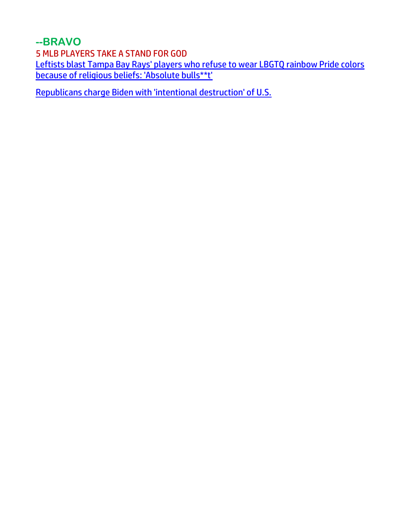**--BRAVO**

5 MLB PLAYERS TAKE A STAND FOR GOD

[Leftists blast Tampa Bay Rays' players who refuse to wear LBGTQ rainbow Pride colors](https://link.theblaze.com/click/27961649.1140634/aHR0cHM6Ly93d3cudGhlYmxhemUuY29tL25ld3MvdGFtcGEtYmF5LXJheXMtcGxheWVycy1sZ2J0cT91dG1fc291cmNlPXRoZWJsYXplLWJyZWFraW5nJnV0bV9tZWRpdW09ZW1haWwmdXRtX2NhbXBhaWduPTIwMjIwNjA2VHJlbmRpbmctRGlzbmV5Q2hhbm5lbEFjdG9yJnV0bV90ZXJtPUFDVElWRSBMSVNUIC0gVGhlQmxhemUgQnJlYWtpbmcgTmV3cw/61f82015384ca325d2cdab60C2bbf06c0)  [because of religious beliefs: 'Absolute bulls\\*\\*t'](https://link.theblaze.com/click/27961649.1140634/aHR0cHM6Ly93d3cudGhlYmxhemUuY29tL25ld3MvdGFtcGEtYmF5LXJheXMtcGxheWVycy1sZ2J0cT91dG1fc291cmNlPXRoZWJsYXplLWJyZWFraW5nJnV0bV9tZWRpdW09ZW1haWwmdXRtX2NhbXBhaWduPTIwMjIwNjA2VHJlbmRpbmctRGlzbmV5Q2hhbm5lbEFjdG9yJnV0bV90ZXJtPUFDVElWRSBMSVNUIC0gVGhlQmxhemUgQnJlYWtpbmcgTmV3cw/61f82015384ca325d2cdab60C2bbf06c0)

[Republicans charge Biden with 'intentional destruction' of U.S.](https://www.wnd.com/2022/06/republicans-charge-biden-intentional-destruction-nation/)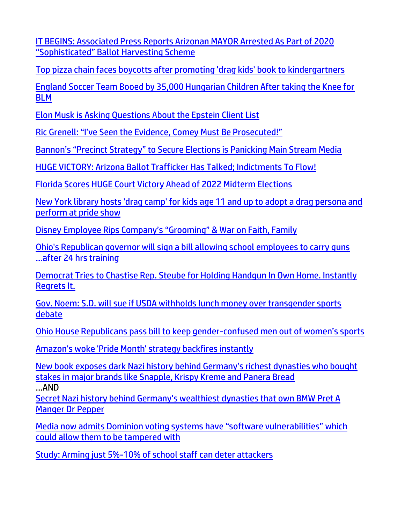[IT BEGINS: Associated Press Reports Arizonan MAYOR Arrested As Part of 2020](https://welovetrump.com/2022/06/05/it-begins-associated-press-reports-arizonan-mayor-arrested-as-part-of-2020-sophisticated-ballot-harvesting-scheme/)  ["Sophisticated" Ballot Harvesting Scheme](https://welovetrump.com/2022/06/05/it-begins-associated-press-reports-arizonan-mayor-arrested-as-part-of-2020-sophisticated-ballot-harvesting-scheme/)

[Top pizza chain faces boycotts after promoting 'drag kids' book to kindergartners](https://www.wnd.com/2022/06/pizza-hut-faces-boycotts-promoting-drag-kids-book-kindergartners/)

[England Soccer Team Booed by 35,000 Hungarian Children After taking the Knee for](https://welovetrump.com/2022/06/05/england-soccer-team-booed-by-35000-hungarian-children-after-taking-the-knee-for-blm/)  [BLM](https://welovetrump.com/2022/06/05/england-soccer-team-booed-by-35000-hungarian-children-after-taking-the-knee-for-blm/)

[Elon Musk is Asking Questions About the Epstein Client List](https://welovetrump.com/2022/06/06/elon-is-asking-questions-about-the-epstein-client-list/)

[Ric Grenell: "I've Seen the Evidence, Comey Must Be Prosecuted!"](https://welovetrump.com/2022/06/04/ric-grenell-ive-seen-the-evidence-comey-must-be-prosecuted/)

[Bannon's "Precinct Strategy" to Secure Elections is Panicking Main Stream Media](https://welovetrump.com/2022/06/03/bannons-precinct-strategy-to-secure-elections-is-panicking-main-stream-media/)

[HUGE VICTORY: Arizona Ballot Trafficker Has Talked; Indictments To Flow!](https://welovetrump.com/2022/06/03/huge-victory-arizona-ballot-trafficker-has-talked-indictments-to-flow/)

[Florida Scores HUGE Court Victory Ahead of 2022 Midterm Elections](https://welovetrump.com/2022/06/03/florida-scores-huge-court-victory-ahead-of-2022-midterm-elections/)

[New York library hosts 'drag camp' for kids age 11 and up to adopt a drag persona and](https://link.theblaze.com/click/27950691.776316/aHR0cHM6Ly93d3cudGhlYmxhemUuY29tL25ld3MvbnktbGlicmFyeS1kcmFnLWNhbXAta2lkcz91dG1fc291cmNlPXRoZWJsYXplLTdEYXlUcmVuZGluZ1Rlc3QmdXRtX21lZGl1bT1lbWFpbCZ1dG1fY2FtcGFpZ249QWZ0ZXJub29uIEF1dG8gVHJlbmRpbmcgNyBEYXkgRW5nYWdlZCAyMDIyLTA2LTA0JnV0bV90ZXJtPUFDVElWRSBMSVNUIC0gNyBEYXkgRW5nYWdlbWVudA/6023d49a5cb716195a6a1bbbCde594117)  [perform at pride show](https://link.theblaze.com/click/27950691.776316/aHR0cHM6Ly93d3cudGhlYmxhemUuY29tL25ld3MvbnktbGlicmFyeS1kcmFnLWNhbXAta2lkcz91dG1fc291cmNlPXRoZWJsYXplLTdEYXlUcmVuZGluZ1Rlc3QmdXRtX21lZGl1bT1lbWFpbCZ1dG1fY2FtcGFpZ249QWZ0ZXJub29uIEF1dG8gVHJlbmRpbmcgNyBEYXkgRW5nYWdlZCAyMDIyLTA2LTA0JnV0bV90ZXJtPUFDVElWRSBMSVNUIC0gNyBEYXkgRW5nYWdlbWVudA/6023d49a5cb716195a6a1bbbCde594117)

[Disney Employee Rips Company's "Grooming" & War on Faith, Family](https://ratherexposethem.org/2022/06/04/disney-employee-rips-companys-grooming-war-on-faith-family/)

[Ohio's Republican governor will sign a bill allowing school employees to carry guns](https://link.theblaze.com/click/27950691.919679/aHR0cHM6Ly93d3cudGhlYmxhemUuY29tL25ld3MvLTI2NTc0NTgwMDk_dXRtX3NvdXJjZT10aGVibGF6ZS03RGF5VHJlbmRpbmdUZXN0JnV0bV9tZWRpdW09ZW1haWwmdXRtX2NhbXBhaWduPUFmdGVybm9vbiBBdXRvIFRyZW5kaW5nIDcgRGF5IEVuZ2FnZWQgMjAyMi0wNi0wNCZ1dG1fdGVybT1BQ1RJVkUgTElTVCAtIDcgRGF5IEVuZ2FnZW1lbnQ/61f82015384ca325d2cdab60C22ecffeb) …after 24 hrs training

[Democrat Tries to Chastise Rep. Steube for Holding Handgun In Own Home. Instantly](https://welovetrump.com/2022/06/04/democrat-tries-to-chastise-rep-steube-for-holding-handgun-in-own-home-instantly-regrets-it/)  [Regrets It.](https://welovetrump.com/2022/06/04/democrat-tries-to-chastise-rep-steube-for-holding-handgun-in-own-home-instantly-regrets-it/)

[Gov. Noem: S.D. will sue if USDA withholds lunch money over transgender sports](https://www.wnd.com/2022/06/gov-noem-s-d-will-sue-usda-withholds-lunch-money-transgender-sports-debate/)  [debate](https://www.wnd.com/2022/06/gov-noem-s-d-will-sue-usda-withholds-lunch-money-transgender-sports-debate/)

[Ohio House Republicans pass bill to keep gender-](https://www.lifesitenews.com/news/ohio-house-republicans-pass-bill-to-keep-gender-confused-men-out-of-womens-sports/?utm_source=top_news&utm_campaign=usa)confused men out of women's sports

[Amazon's woke 'Pride Month' strategy backfires instantly](https://www.wnd.com/2022/06/amazons-woke-pride-month-strategy-backfires-instantly-employees-staging-protest/)

[New book exposes dark Nazi history behind Germany's richest dynasties who bought](https://www.naturalnews.com/2022-06-03-new-book-dark-nazi-history-germanys-dynasties-bought-stakes-major-brands.html)  [stakes in major brands like Snapple, Krispy Kreme and Panera Bread](https://www.naturalnews.com/2022-06-03-new-book-dark-nazi-history-germanys-dynasties-bought-stakes-major-brands.html)

…AND

[Secret Nazi history behind Germany's wealthiest](https://www.dailymail.co.uk/news/article-10821767/Secret-Nazi-history-Germanys-wealthiest-dynasties-BMW-Pret-Manger-Dr-Pepper.html) dynasties that own BMW Pret A [Manger Dr Pepper](https://www.dailymail.co.uk/news/article-10821767/Secret-Nazi-history-Germanys-wealthiest-dynasties-BMW-Pret-Manger-Dr-Pepper.html)

[Media now admits Dominion voting systems have "software vulnerabilities" which](https://www.naturalnews.com/2022-06-03-media-now-admits-dominion-voting-systems-software-vulnerabilities.html) [could allow them to be tampered with](https://www.naturalnews.com/2022-06-03-media-now-admits-dominion-voting-systems-software-vulnerabilities.html)

[Study: Arming just 5%-10% of school staff can deter attackers](https://www.wnd.com/2022/06/study-arming-just-5-10-school-staff-can-deter-attackers/)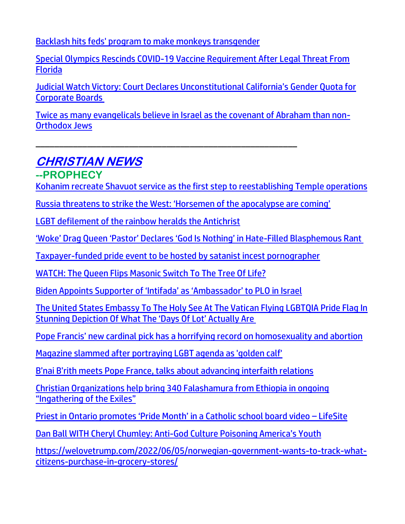[Backlash hits feds' program to make monkeys transgender](https://www.wnd.com/2022/06/backlash-hits-feds-program-make-monkeys-transgender/)

[Special Olympics Rescinds COVID-19 Vaccine Requirement After Legal Threat From](https://www.theepochtimes.com/us-special-olympics-rescinds-covid-19-vaccine-requirement-after-legal-threat-from-florida_4510540.html)  [Florida](https://www.theepochtimes.com/us-special-olympics-rescinds-covid-19-vaccine-requirement-after-legal-threat-from-florida_4510540.html)

[Judicial Watch Victory: Court Declares Unconstitutional California's Gender Quota for](https://www.judicialwatch.org/court-declares-unconstitutional-california-gender-quota/)  [Corporate Boards](https://www.judicialwatch.org/court-declares-unconstitutional-california-gender-quota/)

[Twice as many evangelicals believe in Israel as the covenant of Abraham than non-](https://www.israel365news.com/270066/twice-as-many-evangelicals-believe-in-israel-as-the-covenant-of-abraham-than-non-orthodox-jews/)[Orthodox Jews](https://www.israel365news.com/270066/twice-as-many-evangelicals-believe-in-israel-as-the-covenant-of-abraham-than-non-orthodox-jews/)

# **CHRISTIAN NEWS**

#### **--PROPHECY**

[Kohanim recreate Shavuot service as the first step to reestablishing Temple operations](https://www.israel365news.com/270094/kohanim-recreate-shavuot-service-as-the-first-step-to-reestablishing-temple-operations/)

Russia threatens to str[ike the West: 'Horsemen of the apocalypse are coming'](https://americanmilitarynews.com/2022/06/russia-threatens-to-strike-the-west-horsemen-of-the-apocalypse-are-coming/?utm_source=breaking_email&utm_campaign=breaking_mailchimp&utm_medium=email&utm_source=Master_List&utm_campaign=4ac7588994-EMAIL_CAMPAIGN_2022_06_04_07_09&utm_medium=email&utm_term=0_9c4ef113e0-4ac7588994-61619259&mc_cid=4ac7588994&mc_eid=d4a810d349)

\_\_\_\_\_\_\_\_\_\_\_\_\_\_\_\_\_\_\_\_\_\_\_\_\_\_\_\_\_\_\_\_\_\_\_\_\_\_\_\_\_\_\_\_\_\_\_\_\_\_\_\_\_\_\_\_

[LGBT defilement of the rainbow heralds the Antichrist](https://www.wnd.com/2022/06/lgbt-defilement-rainbow-heralds-antichrist/)

['Woke' Drag Queen 'Pastor' Declares 'God Is Nothing' in Hate](https://neonnettle.com/news/19229--woke-drag-queen-pastor-declares-god-is-nothing-in-hate-filled-blasphemous-rant)-Filled Blasphemous Rant

[Taxpayer-funded pride event to be hosted by satanist incest pornographer](https://alphanews.org/taxpayer-funded-pride-event-to-be-hosted-by-satanist-incest-pornographer/)

[WATCH: The Queen Flips Masonic Switch To The Tree Of Life?](https://welovetrump.com/2022/06/03/watch-the-queen-flips-masonic-switch-to-the-tree-of-life/)

[Biden Appoints Supporter of 'Intifada' as 'Ambassador' to PLO in Israel](https://ratherexposethem.org/2022/06/02/biden-appoints-supporter-of-intifada-as-ambassador-to-plo-in-israel/)

[The United States Embassy To The Holy See At The Vatican Flying LGBTQIA Pride Flag In](https://www.nowtheendbegins.com/us-embassy-holy-see-vatican-begins-flying-lgbtqia-pride-month-flag-days-of-lot/)  [Stunning Depiction Of What The 'Days Of Lot' Actually Are](https://www.nowtheendbegins.com/us-embassy-holy-see-vatican-begins-flying-lgbtqia-pride-month-flag-days-of-lot/)

[Pope Francis' new cardinal pick has a horrifying record on homosexuality and abortion](https://www.lifesitenews.com/blogs/pope-francis-newest-us-cardinal-has-a-horrifying-record-on-homosexuality-and-abortion/?utm_source=top_news&utm_campaign=usa)

[Magazine slammed after portraying LGBT agenda as 'golden calf'](https://www.wnd.com/2022/06/magazine-bulls-eye-portraying-lgbt-agenda-golden-calf/)

[B'nai B'rith meets Pope France, talks](https://www.israelnationalnews.com/news/354379) about advancing interfaith relations

[Christian Organizations help bring 340 Falashamura from Ethiopia in ongoing](https://www.israel365news.com/270026/christian-organizations-help-bring-340-falashamura-from-ethiopia-in-ongoing-ingathering-of-the-exiles/)  ["Ingathering of the Exiles"](https://www.israel365news.com/270026/christian-organizations-help-bring-340-falashamura-from-ethiopia-in-ongoing-ingathering-of-the-exiles/)

[Priest in Ontario promotes 'Pride Month' in a Catholic school board video –](https://www.lifesitenews.com/news/catholic-priest-in-ontario-promotes-pride-month-in-video-for-school-board/) LifeSite

Dan Ball WITH Cheryl Chumley: Anti-[God Culture Poisoning America's Youth](https://ratherexposethem.org/2022/06/03/dan-ball-with-cheryl-chumley-anti-god-culture-poisoning-americas-youth/)

[https://welovetrump.com/2022/06/05/norwegian-government-wants-to-track-what](https://welovetrump.com/2022/06/05/norwegian-government-wants-to-track-what-citizens-purchase-in-grocery-stores/)[citizens-purchase-in-grocery-stores/](https://welovetrump.com/2022/06/05/norwegian-government-wants-to-track-what-citizens-purchase-in-grocery-stores/)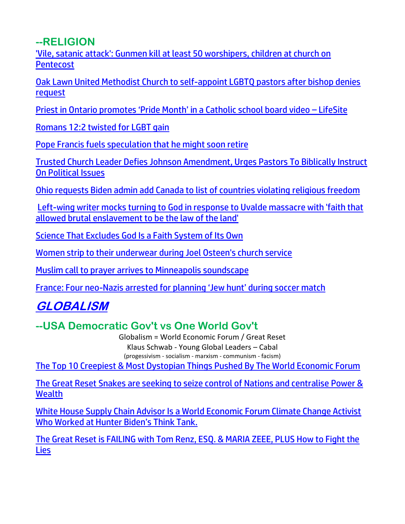**--RELIGION**

['Vile, satanic attack': Gunmen kill at least 50 worshipers, children at church on](https://www.wnd.com/2022/06/vile-satanic-attack-gunmen-kill-least-50-worshipers-children-church-pentecost/)  **[Pentecost](https://www.wnd.com/2022/06/vile-satanic-attack-gunmen-kill-least-50-worshipers-children-church-pentecost/)** 

[Oak Lawn United Methodist Church to self-appoint LGBTQ pastors after bishop denies](https://www.msn.com/en-us/news/us/oak-lawn-united-methodist-church-to-self-appoint-lgbtq-pastors-after-bishop-denies-request/ar-AAY2Vuj)  [request](https://www.msn.com/en-us/news/us/oak-lawn-united-methodist-church-to-self-appoint-lgbtq-pastors-after-bishop-denies-request/ar-AAY2Vuj)

[Priest in Ontario promotes 'Pride Month' in a Catholic school board video –](https://www.lifesitenews.com/news/catholic-priest-in-ontario-promotes-pride-month-in-video-for-school-board/) LifeSite

[Romans 12:2 twisted for LGBT gain](https://inform.afa.net/optiext/optiextension.dll?ID=SopSo_KH0ssImUvKsSsEps6kZDjM4ZPG1SRD5uzorQGujDJ8f8gXNVCQnOb6c3fMpprrwgQIgb70_nvEOqLRoglkiu3iPIgnsCAq1_mp)

[Pope Francis fuels speculation that he might soon retire](https://link.theblaze.com/click/27956742.926193/aHR0cHM6Ly93d3cudGhlYmxhemUuY29tL25ld3MvLTI2NTc0NjA1MzY_dXRtX3NvdXJjZT10aGVibGF6ZS03RGF5VHJlbmRpbmdUZXN0JnV0bV9tZWRpdW09ZW1haWwmdXRtX2NhbXBhaWduPVRoZSBCbGF6ZSBQTSBUcmVuZGluZyAyMDIyLTA2LTA1JnV0bV90ZXJtPUFDVElWRSBMSVNUIC0gNyBEYXkgRW5nYWdlbWVudA/61f82015384ca325d2cdab60C66991f13)

[Trusted Church Leader Defies Johnson Amendment, Urges Pastors To Biblically Instruct](https://harbingersdaily.com/trusted-church-leader-defies-johnson-amendment-urges-pastors-to-biblically-instruct-on-political-issues/)  [On Political Issues](https://harbingersdaily.com/trusted-church-leader-defies-johnson-amendment-urges-pastors-to-biblically-instruct-on-political-issues/)

[Ohio requests Biden admin add Canada to list of countries violating](https://www.lifesitenews.com/news/ohio-requests-biden-admin-add-canada-to-list-of-countries-violating-religious-freedom/?utm_source=top_news&utm_campaign=usa) religious freedom

[Left-wing writer mocks turning to God in response to Uvalde massacre with 'faith that](https://link.theblaze.com/click/27915916.895506/aHR0cHM6Ly93d3cudGhlYmxhemUuY29tL25ld3Mvd3JpdGVyLW1vY2tzLXR1cm5pbmctdG8tZ29kP3V0bV9zb3VyY2U9dGhlYmxhemUtN0RheVRyZW5kaW5nVGVzdCZ1dG1fbWVkaXVtPWVtYWlsJnV0bV9jYW1wYWlnbj1UaGUgQmxhemUgUE0gVHJlbmRpbmcgMjAyMi0wNi0wMSZ1dG1fdGVybT1BQ1RJVkUgTElTVCAtIDcgRGF5IEVuZ2FnZW1lbnQ/61f82015384ca325d2cdab60C31bf90e5)  [allowed brutal enslavement to be the law of the land'](https://link.theblaze.com/click/27915916.895506/aHR0cHM6Ly93d3cudGhlYmxhemUuY29tL25ld3Mvd3JpdGVyLW1vY2tzLXR1cm5pbmctdG8tZ29kP3V0bV9zb3VyY2U9dGhlYmxhemUtN0RheVRyZW5kaW5nVGVzdCZ1dG1fbWVkaXVtPWVtYWlsJnV0bV9jYW1wYWlnbj1UaGUgQmxhemUgUE0gVHJlbmRpbmcgMjAyMi0wNi0wMSZ1dG1fdGVybT1BQ1RJVkUgTElTVCAtIDcgRGF5IEVuZ2FnZW1lbnQ/61f82015384ca325d2cdab60C31bf90e5)

[Science That Excludes God Is a Faith System of Its Own](https://www.afa.net/the-stand/faith/2022/06/science-that-excludes-god-is-a-faith-system-of-its-own/)

[Women strip to their underwear during Joel Osteen's church service](https://www.wnd.com/2022/06/women-strip-underwear-disrupt-joel-osteen-church-service/)

[Muslim call to prayer arrives to Minneapolis soundscape](https://www.wnd.com/2022/06/muslim-call-prayer-arrives-minneapolis-soundscape/)

France: Four neo-[Nazis arrested for planning 'Jew hunt' during soccer match](https://www.jpost.com/diaspora/antisemitism/article-708550)

## **GLOBALISM**

## **--USA Democratic Gov't vs One World Gov't**

Globalism = World Economic Forum / Great Reset Klaus Schwab - Young Global Leaders – Cabal (progessivism - socialism - marxism - communism - facism)

[The Top 10 Creepiest & Most Dystopian Things Pushed By The World Economic Forum](https://www.zerohedge.com/geopolitical/top-10-creepiest-and-most-dystopian-things-pushed-world-economic-forum-wef)

[The Great Reset Snakes are seeking to seize control of Nations and centralise Power &](https://expose-news.com/2022/06/06/the-great-reset-snakes/)  **[Wealth](https://expose-news.com/2022/06/06/the-great-reset-snakes/)** 

[White House Supply Chain Advisor Is a World Economic Forum Climate Change Activist](https://thenationalpulse.com/2022/05/31/biden-supply-chain-director-is-hunter-biden-linked-wef-alum/)  [Who Worked at Hunter Biden's Think Tank.](https://thenationalpulse.com/2022/05/31/biden-supply-chain-director-is-hunter-biden-linked-wef-alum/)

[The Great Reset is FAILING with Tom Renz, ESQ. & MARIA ZEEE, PLUS How to Fight the](https://ratherexposethem.org/2022/06/03/the-great-reset-is-failing-with-tom-renz-esq-maria-zeee-plus-how-to-fight-the-lies/)  [Lies](https://ratherexposethem.org/2022/06/03/the-great-reset-is-failing-with-tom-renz-esq-maria-zeee-plus-how-to-fight-the-lies/)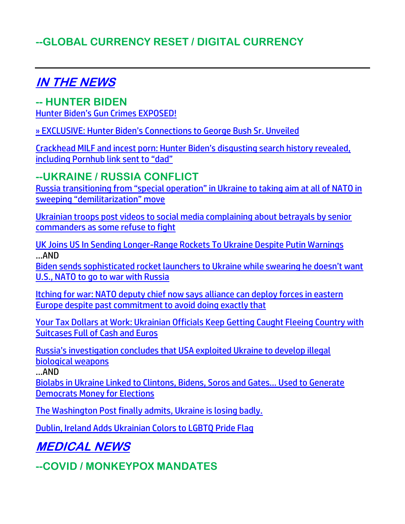## **--GLOBAL CURRENCY RESET / DIGITAL CURRENCY**

## **IN THE NEWS**

**-- HUNTER BIDEN**  [Hunter Biden's Gun Crimes EXPOSED!](https://welovetrump.com/2022/06/03/hunter-bidens-gun-crimes-exposed/)

[» EXCLUSIVE: Hunter Biden's Connections to George Bush Sr. Unveiled](https://trk.cp20.com/click/gak4-3nc7oz-8bo4nf-f4obzxf2/)

[Crackhead MILF and incest porn: Hunter Biden's disgusting search history revealed,](https://ratherexposethem.org/2022/06/04/crackhead-milf-and-incest-porn-hunter-bidens-disgusting-search-history-revealed-including-pornhub-link-sent-to-dad/)  [including Pornhub link sent to "dad"](https://ratherexposethem.org/2022/06/04/crackhead-milf-and-incest-porn-hunter-bidens-disgusting-search-history-revealed-including-pornhub-link-sent-to-dad/)

#### **--UKRAINE / RUSSIA CONFLICT**

[Russia transitioning from "special operation" in Ukraine to taking aim at all of NATO in](https://www.naturalnews.com/2022-06-04-russia-takes-on-nato-sweeping-demilitarization-move.html)  [sweeping "demilitarization" move](https://www.naturalnews.com/2022-06-04-russia-takes-on-nato-sweeping-demilitarization-move.html)

[Ukrainian troops post videos to social media complaining about betrayals by senior](https://www.naturalnews.com/2022-06-07-ukrainian-troops-post-videos-senior-commanders-refuse-to-fight.html)  [commanders as some refuse to fight](https://www.naturalnews.com/2022-06-07-ukrainian-troops-post-videos-senior-commanders-refuse-to-fight.html)

[UK Joins US In Sending Longer-Range Rockets To Ukraine Despite Putin Warnings](https://www.zerohedge.com/geopolitical/uk-joins-us-sending-longer-range-rockets-ukraine-despite-putin-warnings) …AND

[Biden sends sophisticated rocket launchers to Ukraine while swearing he doesn't want](https://www.naturalnews.com/2022-06-06-biden-sends-sophisticated-rocket-launchers-to-ukraine-while-swearing-he-doesnt-want-war-with-russia.html)  [U.S., NATO to go to war with Russia](https://www.naturalnews.com/2022-06-06-biden-sends-sophisticated-rocket-launchers-to-ukraine-while-swearing-he-doesnt-want-war-with-russia.html)

[Itching for war: NATO deputy chief now says alliance can deploy forces in eastern](https://www.naturalnews.com/2022-06-06-nato-now-says-alliance-can-deploy-forces-in-eastern-europe.html)  [Europe despite past commitment to avoid doing exactly that](https://www.naturalnews.com/2022-06-06-nato-now-says-alliance-can-deploy-forces-in-eastern-europe.html)

[Your Tax Dollars at Work: Ukrainian Officials Keep Getting Caught Fleeing Country with](https://www.thegatewaypundit.com/2022/03/tax-dollars-work-ukrainian-officials-keep-getting-caught-fleeing-country-suitcases-full-cash-euros/?utm_source=Gab&utm_medium=PostTopSharingButtons&utm_campaign=websitesharingbuttons)  [Suitcases Full of Cash and Euros](https://www.thegatewaypundit.com/2022/03/tax-dollars-work-ukrainian-officials-keep-getting-caught-fleeing-country-suitcases-full-cash-euros/?utm_source=Gab&utm_medium=PostTopSharingButtons&utm_campaign=websitesharingbuttons)

[Russia's investigation concludes that USA exploited Ukraine to develop illegal](https://www.naturalnews.com/2022-06-03-russia-investigation-concludes-usa-exploited-ukraine-biological-weapons.html)  [biological weapons](https://www.naturalnews.com/2022-06-03-russia-investigation-concludes-usa-exploited-ukraine-biological-weapons.html)

…AND

[Biolabs in Ukraine Linked to Clintons, Bidens, Soros and Gates… Used to Generate](https://100percentfedup.com/biolabs-in-ukraine-linked-to-clintons-bidens-soros-and-gates-used-to-generate-democrats-money-for-elections/)  [Democrats Money for Elections](https://100percentfedup.com/biolabs-in-ukraine-linked-to-clintons-bidens-soros-and-gates-used-to-generate-democrats-money-for-elections/)

[The Washington Post finally admits, Ukraine is losing badly.](https://www.investmentwatchblog.com/the-washington-post-finally-admits-ukraine-is-losing-badly/)

[Dublin, Ireland Adds Ukrainian Colors to LGBTQ Pride Flag](https://welovetrump.com/2022/06/02/dublin-ireland-adds-ukrainian-colors-to-lgbtq-pride-flag/)

**MEDICAL NEWS**

**--COVID / MONKEYPOX MANDATES**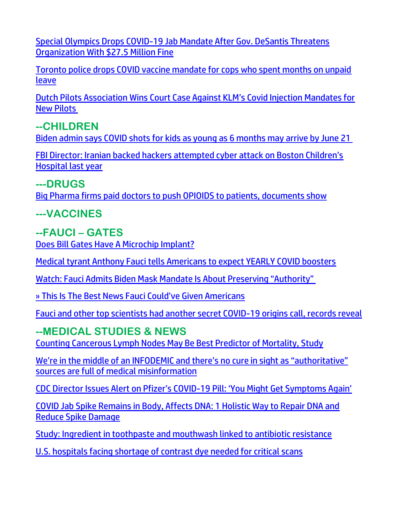[Special Olympics Drops COVID-19 Jab Mandate After Gov. DeSantis Threatens](https://welovetrump.com/2022/06/03/special-olympics-drops-covid-19-jab-mandate-after-gov-desantis-threatens-organization-with-27-5-million-fine/)  [Organization With \\$27.5 Million Fine](https://welovetrump.com/2022/06/03/special-olympics-drops-covid-19-jab-mandate-after-gov-desantis-threatens-organization-with-27-5-million-fine/)

[Toronto police drops COVID vaccine mandate for cops who spent months on unpaid](https://www.lifesitenews.com/news/toronto-police-drops-covid-vaccine-mandate-for-cops-who-spent-months-on-unpaid-leave/?utm_source=top_news&utm_campaign=usa)  [leave](https://www.lifesitenews.com/news/toronto-police-drops-covid-vaccine-mandate-for-cops-who-spent-months-on-unpaid-leave/?utm_source=top_news&utm_campaign=usa)

[Dutch Pilots Association Wins Court Case Against KLM's Covid Injection Mandates for](https://expose-news.com/2022/06/03/vnv-wins-court-case-against-klm/)  [New Pilots](https://expose-news.com/2022/06/03/vnv-wins-court-case-against-klm/)

## **--CHILDREN**

[Biden admin says COVID shots for kids as young as 6 months may arrive by June 21](https://www.lifesitenews.com/news/biden-admin-says-covid-shots-for-kids-as-young-as-6-months-may-arrive-by-june-21/?utm_source=top_news&utm_campaign=usa)

[FBI Director: Iranian backed hackers attempted cyber attack on Boston Children's](https://delivery.email.saraacarter.com/GUIDARZE?id=153976=eh4CVwZWCQQBTFIBVlwCUA4GBFUECVBUWFdcVQFVVVkLBgUHUQcEAQRTUQZXXQcDDwoeXlxdAxEKDCRUVABaVBcBXQtPVAYGAwMFClUPBAcEA1EADgQaChURFEADThxcXA5bEFYXSR1SXVJbChdGVUVTA1dWQxIHE0sHXFROdG1wJnM0aSAPWlNMRQE=&fl=URZGFkBfHxxDVV9XC1xBRl5XERpdVAMMBksHXFROUFRQAVk=&ext=dD1leUpoYkdjaU9pSklVekkxTmlJc0luUjVjQ0k2SWtwWFZDSjkuZXlKd0lqcGJiblZzYkN4dWRXeHNMQ0pvZEhSd2N6b3ZMM05oY21GaFkyRnlkR1Z5TG1OdmJTOW1ZbWt0WkdseVpXTjBiM0l0YVhKaGJtbGhiaTFpWVdOclpXUXRhR0ZqYTJWeWN5MWhkSFJsYlhCMFpXUXRZM2xpWlhJdFlYUjBZV05yTFc5dUxXSnZjM1J2YmkxamFHbHNaSEpsYm5NdGFHOXpjR2wwWVd3dGJHRnpkQzE1WldGeUx6OTFkRzFmYzI5MWNtTmxQV3BsWlc1bkptcGxiVDFqTldFek9EVTNNR013WVdSalkyTm1PR0ZpTTJSak9XSmlOekF5TXpObU15SXNiblZzYkN3eExHWmhiSE5sTEdaaGJITmxMQ0prWkRVd056TXlaQzB6WTJaaExUUTFZamN0T0RVeE1TMDJaV1V5WVRBMk1HRTROek1pTENKaE5HSTNOekF6TXkweU1UazNMVFE0WXprdFlXTXdZUzFsTXpRNFl6ZzVaalkxTWpVaUxDSTRZV1kxTnpBNE1DMDVZekV6TFRSaVpETXRZamcyWmkwd1lqTmpOV1JtT1RGbU1XSWlMQ0pvZEhSd2N6b3ZMM05oY21GaFkyRnlkR1Z5TG1OdmJTOW1ZbWt0WkdseVpXTjBiM0l0YVhKaGJtbGhiaTFpWVdOclpXUXRhR0ZqYTJWeWN5MWhkSFJsYlhCMFpXUXRZM2xpWlhJdFlYUjBZV05yTFc5dUxXSnZjM1J2YmkxamFHbHNaSEpsYm5NdGFHOXpjR2wwWVd3dGJHRnpkQzE1WldGeUx5SXNJbU0zY0ROZk1DSXNJbVZ0WVdsc0lpd2lSRk1pWFN3aWFXRjBJam94TmpVME16YzJOVEkxZlEuSkxqTHUzZUxlZFJZTmdjT1U2LWJyNXhOY29ZOVVfN1BRTmtyenpvNDltUQ==)  [Hospital last year](https://delivery.email.saraacarter.com/GUIDARZE?id=153976=eh4CVwZWCQQBTFIBVlwCUA4GBFUECVBUWFdcVQFVVVkLBgUHUQcEAQRTUQZXXQcDDwoeXlxdAxEKDCRUVABaVBcBXQtPVAYGAwMFClUPBAcEA1EADgQaChURFEADThxcXA5bEFYXSR1SXVJbChdGVUVTA1dWQxIHE0sHXFROdG1wJnM0aSAPWlNMRQE=&fl=URZGFkBfHxxDVV9XC1xBRl5XERpdVAMMBksHXFROUFRQAVk=&ext=dD1leUpoYkdjaU9pSklVekkxTmlJc0luUjVjQ0k2SWtwWFZDSjkuZXlKd0lqcGJiblZzYkN4dWRXeHNMQ0pvZEhSd2N6b3ZMM05oY21GaFkyRnlkR1Z5TG1OdmJTOW1ZbWt0WkdseVpXTjBiM0l0YVhKaGJtbGhiaTFpWVdOclpXUXRhR0ZqYTJWeWN5MWhkSFJsYlhCMFpXUXRZM2xpWlhJdFlYUjBZV05yTFc5dUxXSnZjM1J2YmkxamFHbHNaSEpsYm5NdGFHOXpjR2wwWVd3dGJHRnpkQzE1WldGeUx6OTFkRzFmYzI5MWNtTmxQV3BsWlc1bkptcGxiVDFqTldFek9EVTNNR013WVdSalkyTm1PR0ZpTTJSak9XSmlOekF5TXpObU15SXNiblZzYkN3eExHWmhiSE5sTEdaaGJITmxMQ0prWkRVd056TXlaQzB6WTJaaExUUTFZamN0T0RVeE1TMDJaV1V5WVRBMk1HRTROek1pTENKaE5HSTNOekF6TXkweU1UazNMVFE0WXprdFlXTXdZUzFsTXpRNFl6ZzVaalkxTWpVaUxDSTRZV1kxTnpBNE1DMDVZekV6TFRSaVpETXRZamcyWmkwd1lqTmpOV1JtT1RGbU1XSWlMQ0pvZEhSd2N6b3ZMM05oY21GaFkyRnlkR1Z5TG1OdmJTOW1ZbWt0WkdseVpXTjBiM0l0YVhKaGJtbGhiaTFpWVdOclpXUXRhR0ZqYTJWeWN5MWhkSFJsYlhCMFpXUXRZM2xpWlhJdFlYUjBZV05yTFc5dUxXSnZjM1J2YmkxamFHbHNaSEpsYm5NdGFHOXpjR2wwWVd3dGJHRnpkQzE1WldGeUx5SXNJbU0zY0ROZk1DSXNJbVZ0WVdsc0lpd2lSRk1pWFN3aWFXRjBJam94TmpVME16YzJOVEkxZlEuSkxqTHUzZUxlZFJZTmdjT1U2LWJyNXhOY29ZOVVfN1BRTmtyenpvNDltUQ==)

#### **---DRUGS**

[Big Pharma firms paid doctors to push OPIOIDS to patients, documents show](https://www.naturalnews.com/2022-06-05-pharma-paid-doctors-push-opioids-to-patients.html)

**---VACCINES**

## **--FAUCI – GATES**

[Does Bill Gates Have A Microchip Implant?](https://welovetrump.com/2022/06/06/did-bill-gates-have-a-chip-implant/)

[Medical tyrant Anthony Fauci tells Americans to expect YEARLY COVID boosters](https://www.naturalnews.com/2022-06-05-fauci-tells-americans-expect-yearly-covid-boosters.html)

[Watch: Fauci Admits Biden Mask Mandate Is About Preserving "Authority"](https://www.zerohedge.com/political/video-fauci-admits-biden-mask-mandate-about-preserving-authority)

[» This Is The Best News Fauci Could've Given Americans](https://trk.cp20.com/click/gak4-3nc7oz-8bo4nc-f4obzxf9/)

[Fauci and other top scientists had another secret COVID-19 origins call, records reveal](https://link.theblaze.com/click/27939131.1149186/aHR0cHM6Ly93d3cudGhlYmxhemUuY29tL25ld3MvZmF1Y2ktYW5kLW90aGVyLXRvcC1zY2llbnRpc3RzLWhhZC1hbm90aGVyLXNlY3JldC1jb3ZpZC0xOS1vcmlnaW5zLWNhbGwtcmVjb3Jkcy1yZXZlYWw_dXRtX3NvdXJjZT10aGVibGF6ZS1icmVha2luZyZ1dG1fbWVkaXVtPWVtYWlsJnV0bV9jYW1wYWlnbj0yMDIyMDYwM1RyZW5kaW5nLUZhdWNpT3JpZ2lucyZ1dG1fdGVybT1BQ1RJVkUgTElTVCAtIFRoZUJsYXplIEJyZWFraW5nIE5ld3M/61f82015384ca325d2cdab60C64245953)

## **--MEDICAL STUDIES & NEWS**

[Counting Cancerous Lymph Nodes May Be Best Predictor of Mortality, Study](https://lists.youmaker.com/links/84g4yBVh5Z/Jlid8tcrj/7xAbPNiP2/6jgRzuXQjh)

[We're in the middle of an INFODEMIC and there's no cure in sight as "authoritative"](https://www.naturalnews.com/2022-06-05-infodemic-no-cure-authoritative-sources-full-of-medical-misinformation.html)  [sources are full of medical misinformation](https://www.naturalnews.com/2022-06-05-infodemic-no-cure-authoritative-sources-full-of-medical-misinformation.html)

[CDC Director Issues Alert on Pfizer's COVID](https://lists.youmaker.com/links/6ucyaowUBU/Jlid8tcrj/7xAbPNiP2/2lh1iE3EsX)-19 Pill: 'You Might Get Symptoms Again'

[COVID Jab Spike Remains in Body, Affects DNA: 1 Holistic Way to Repair DNA and](https://lists.youmaker.com/links/ronNAKQlq9/Jlid8tcrj/7xAbPNiP2/S5W1NteHMB8)  [Reduce Spike Damage](https://lists.youmaker.com/links/ronNAKQlq9/Jlid8tcrj/7xAbPNiP2/S5W1NteHMB8)

[Study: Ingredient in toothpaste and mouthwash linked to antibiotic resistance](https://www.naturalnews.com/2022-06-03-toothpaste-mouthwash-ingredient-linked-to-antibiotic-resistance.html)

[U.S. hospitals facing shortage of contrast dye needed for critical scans](https://www.wnd.com/2022/06/u-s-hospitals-facing-shortage-contrast-dye-needed-critical-scans/)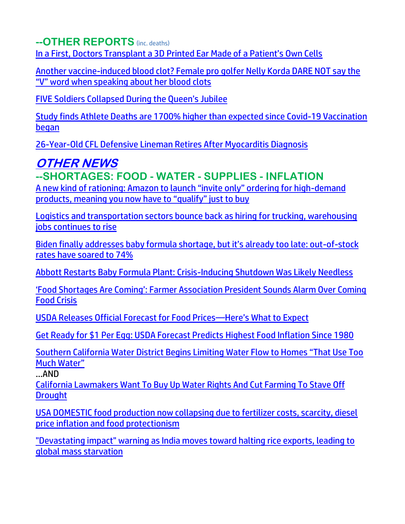**--OTHER REPORTS** (inc. deaths)

[In a First, Doctors Transplant a 3D Printed Ear Made of a Patient's Own Cells](https://singularityhub.com/2022/06/02/in-a-first-doctors-transplant-3d-printed-ear-made-of-patients-own-cells/)

[Another vaccine-induced blood clot? Female pro golfer Nelly Korda DARE NOT say the](https://www.naturalnews.com/2022-06-06-golfer-nelly-korda-dare-not-say-the-v-word-clot-cause.html)  ["V" word when speaking about her blood clots](https://www.naturalnews.com/2022-06-06-golfer-nelly-korda-dare-not-say-the-v-word-clot-cause.html)

[FIVE Soldiers Collapsed During the Queen's Jubilee](https://welovetrump.com/2022/06/04/five-soldiers-collapsed-during-the-queens-jubilee/)

[Study finds Athlete Deaths are 1700% higher than expected since Covid-19 Vaccination](https://expose-news.com/2022/06/04/athlete-deaths-18x-higher-than-expected/)  [began](https://expose-news.com/2022/06/04/athlete-deaths-18x-higher-than-expected/)

[26-Year-Old CFL Defensive Lineman Retires After Myocarditis Diagnosis](https://welovetrump.com/2022/06/03/26-year-old-cfl-defensive-lineman-retires-after-myocarditis-diagnosis/)

## **OTHER NEWS**

## **--SHORTAGES: FOOD - WATER - SUPPLIES - INFLATION**

[A new kind of rationing: Amazon to launch "invite only" ordering for high](https://www.naturalnews.com/2022-06-06-rationing-amazon-invite-only-high-demand-products.html)-demand [products, meaning you now have to "qualify" just to buy](https://www.naturalnews.com/2022-06-06-rationing-amazon-invite-only-high-demand-products.html)

[Logistics and transportation sectors bounce back as hiring for trucking, warehousing](https://www.naturalnews.com/2022-06-06-logistics-transportation-sectors-bouncing-back-hiring-increases.html)  [jobs continues to rise](https://www.naturalnews.com/2022-06-06-logistics-transportation-sectors-bouncing-back-hiring-increases.html)

[Biden finally addresses baby formula shortage, but it's already too late: out](https://www.naturalnews.com/2022-06-04-biden-baby-formula-shortage-out-stock-74-percent.html)-of-stock [rates have soared to 74%](https://www.naturalnews.com/2022-06-04-biden-baby-formula-shortage-out-stock-74-percent.html)

[Abbott Restarts Baby Formula Plant: Crisis-Inducing Shutdown Was Likely Needless](https://www.zerohedge.com/markets/abbott-restarts-baby-formula-plant-crisis-inducing-shutdown-was-likely-needless)

['Food Shortages Are Coming': Farmer Association President Sounds Alarm Over Coming](https://lists.youmaker.com/links/NtCHcaw8Xa/Jlid8tcrj/7xAbPNiP2/zwpXhh9K5p)  [Food Crisis](https://lists.youmaker.com/links/NtCHcaw8Xa/Jlid8tcrj/7xAbPNiP2/zwpXhh9K5p)

[USDA Releases Official Forecast for Food Prices](https://lists.youmaker.com/links/84g4yBVh5Z/Jlid8tcrj/7xAbPNiP2/OTIRARjNMu)—Here's What to Expect

[Get Ready for \\$1 Per Egg: USDA Forecast Predicts Highest Food Inflation Since 1980](https://ratherexposethem.org/2022/06/03/get-ready-for-1-per-egg-usda-forecast-predicts-highest-food-inflation-since-1980/)

[Southern California Water District Begins Limiting Water Flow to Homes "](https://welovetrump.com/2022/06/04/southern-california-water-district-begins-limiting-water-flow-to-homes-that-use-too-much-water/)That Use Too [Much Water"](https://welovetrump.com/2022/06/04/southern-california-water-district-begins-limiting-water-flow-to-homes-that-use-too-much-water/)

…AND

[California Lawmakers Want To Buy Up Water Rights And Cut Farming To Stave Off](https://www.zerohedge.com/weather/california-lawmakers-want-buy-water-rights-and-cut-farming-stave-drought)  **[Drought](https://www.zerohedge.com/weather/california-lawmakers-want-buy-water-rights-and-cut-farming-stave-drought)** 

[USA DOMESTIC food production now collapsing due to fertilizer costs, scarcity, diesel](https://www.naturalnews.com/2022-06-03-usa-domestic-food-production-now-collapsing.html)  [price inflation and food protectionism](https://www.naturalnews.com/2022-06-03-usa-domestic-food-production-now-collapsing.html)

["Devastating impact" warning as India moves toward halting rice exports, leading to](https://ce-publicdy.naturalnews.com/ct.asp?id=B57B10D1CE26AA2D065A8C20CCF6ECE5B5746BBFA5714F56B39784CA4A8143859DA7FA4A3F0B1B27C6FE5E6134969222&ct=4aeUs2oAAABCWmgzMUFZJlNZxaxZugAAGZmAAAPREC7n3cAgAGoptKepoeSG1NqeoImho9KeSBiZESxcZasUEs7LuRXMqWxDqshML2YjzLkehVkbepPpCap3fUrExwWdi8GwrHoKgf2rDkpd3XiNA8RA%2fF3JFOFCQxaxZug%3d)  [global mass starvation](https://ce-publicdy.naturalnews.com/ct.asp?id=B57B10D1CE26AA2D065A8C20CCF6ECE5B5746BBFA5714F56B39784CA4A8143859DA7FA4A3F0B1B27C6FE5E6134969222&ct=4aeUs2oAAABCWmgzMUFZJlNZxaxZugAAGZmAAAPREC7n3cAgAGoptKepoeSG1NqeoImho9KeSBiZESxcZasUEs7LuRXMqWxDqshML2YjzLkehVkbepPpCap3fUrExwWdi8GwrHoKgf2rDkpd3XiNA8RA%2fF3JFOFCQxaxZug%3d)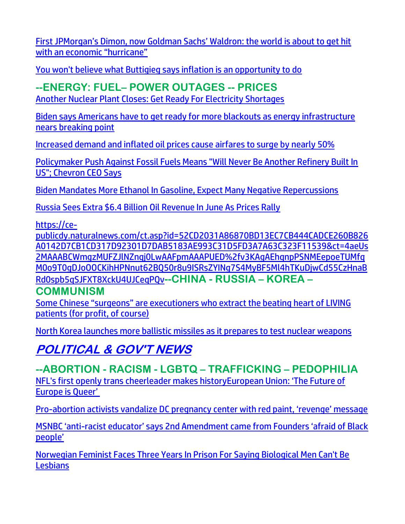[First JPMorgan's Dimon, now Goldman Sachs' Waldron: the world is about to get hit](https://www.naturalnews.com/2022-06-05-jpmorgan-dimon-goldman-sachs-waldron-economic-hurricane.html)  [with an economic "hurricane"](https://www.naturalnews.com/2022-06-05-jpmorgan-dimon-goldman-sachs-waldron-economic-hurricane.html)

[You won't believe what Buttigieg says inflation is an opportunity to do](https://www.wnd.com/2022/06/pete-buttigieg-inflation-wealth-redistribution-opportunity/)

#### **--ENERGY: FUEL– POWER OUTAGES -- PRICES**

[Another Nuclear Plant Closes: Get Ready For Electricity Shortages](https://www.zerohedge.com/energy/another-nuclear-plant-closes-get-ready-electricity-shortages)

Biden says Americans have [to get ready for more blackouts as energy infrastructure](https://www.naturalnews.com/2022-06-04-biden-get-ready-for-more-blackouts.html)  [nears breaking point](https://www.naturalnews.com/2022-06-04-biden-get-ready-for-more-blackouts.html)

[Increased demand and inflated oil prices cause airfares to surge by nearly 50%](https://www.naturalnews.com/2022-06-05-increased-demand-oil-prices-cause-airfares-surge.html)

[Policymaker Push Against Fossil Fuels Means "Will Never Be Another Refinery Built In](https://www.zerohedge.com/markets/policymaker-push-against-fossil-fuels-means-will-never-be-another-refinery-built-us-chevron)  [US"; Chevron CEO Says](https://www.zerohedge.com/markets/policymaker-push-against-fossil-fuels-means-will-never-be-another-refinery-built-us-chevron)

[Biden Mandates More Ethanol In Gasoline, Expect Many Negative Repercussions](https://www.zerohedge.com/political/biden-mandates-more-ethanol-gasoline-expect-many-negative-repercussions)

[Russia Sees Extra \\$6.4 Billion Oil Revenue In June As Prices Rally](https://www.zerohedge.com/energy/russia-sees-extra-64-billion-oil-revenue-june-prices-rally)

[https://ce-](https://ce-publicdy.naturalnews.com/ct.asp?id=52CD2031A86870BD13EC7CB444CADCE260B826A0142D7CB1CD317D92301D7DAB5183AE993C31D5FD3A7A63C323F11539&ct=4aeUs2MAAABCWmgzMUFZJlNZnqj0LwAAFpmAAAPUED%2fv3KAgAEhqnpPSNMEepoeTUMfqM0o9T0gDJoOOCKihHPNnut62BQ50r8u9ISRsZYINg7S4MyBF5Ml4hTKuDjwCd55CzHnaBRd0spb5qSJFXT8XckU4UJCeqPQv)

[publicdy.naturalnews.com/ct.asp?id=52CD2031A86870BD13EC7CB444CADCE260B826](https://ce-publicdy.naturalnews.com/ct.asp?id=52CD2031A86870BD13EC7CB444CADCE260B826A0142D7CB1CD317D92301D7DAB5183AE993C31D5FD3A7A63C323F11539&ct=4aeUs2MAAABCWmgzMUFZJlNZnqj0LwAAFpmAAAPUED%2fv3KAgAEhqnpPSNMEepoeTUMfqM0o9T0gDJoOOCKihHPNnut62BQ50r8u9ISRsZYINg7S4MyBF5Ml4hTKuDjwCd55CzHnaBRd0spb5qSJFXT8XckU4UJCeqPQv) [A0142D7CB1CD317D92301D7DAB5183AE993C31D5FD3A7A63C323F11539&ct=4aeUs](https://ce-publicdy.naturalnews.com/ct.asp?id=52CD2031A86870BD13EC7CB444CADCE260B826A0142D7CB1CD317D92301D7DAB5183AE993C31D5FD3A7A63C323F11539&ct=4aeUs2MAAABCWmgzMUFZJlNZnqj0LwAAFpmAAAPUED%2fv3KAgAEhqnpPSNMEepoeTUMfqM0o9T0gDJoOOCKihHPNnut62BQ50r8u9ISRsZYINg7S4MyBF5Ml4hTKuDjwCd55CzHnaBRd0spb5qSJFXT8XckU4UJCeqPQv) [2MAAABCWmgzMUFZJlNZnqj0LwAAFpmAAAPUED%2fv3KAgAEhqnpPSNMEepoeTUMfq](https://ce-publicdy.naturalnews.com/ct.asp?id=52CD2031A86870BD13EC7CB444CADCE260B826A0142D7CB1CD317D92301D7DAB5183AE993C31D5FD3A7A63C323F11539&ct=4aeUs2MAAABCWmgzMUFZJlNZnqj0LwAAFpmAAAPUED%2fv3KAgAEhqnpPSNMEepoeTUMfqM0o9T0gDJoOOCKihHPNnut62BQ50r8u9ISRsZYINg7S4MyBF5Ml4hTKuDjwCd55CzHnaBRd0spb5qSJFXT8XckU4UJCeqPQv) [M0o9T0gDJoOOCKihHPNnut62BQ50r8u9ISRsZYINg7S4MyBF5Ml4hTKuDjwCd55CzHnaB](https://ce-publicdy.naturalnews.com/ct.asp?id=52CD2031A86870BD13EC7CB444CADCE260B826A0142D7CB1CD317D92301D7DAB5183AE993C31D5FD3A7A63C323F11539&ct=4aeUs2MAAABCWmgzMUFZJlNZnqj0LwAAFpmAAAPUED%2fv3KAgAEhqnpPSNMEepoeTUMfqM0o9T0gDJoOOCKihHPNnut62BQ50r8u9ISRsZYINg7S4MyBF5Ml4hTKuDjwCd55CzHnaBRd0spb5qSJFXT8XckU4UJCeqPQv) [Rd0spb5qSJFXT8XckU4UJCeqPQv](https://ce-publicdy.naturalnews.com/ct.asp?id=52CD2031A86870BD13EC7CB444CADCE260B826A0142D7CB1CD317D92301D7DAB5183AE993C31D5FD3A7A63C323F11539&ct=4aeUs2MAAABCWmgzMUFZJlNZnqj0LwAAFpmAAAPUED%2fv3KAgAEhqnpPSNMEepoeTUMfqM0o9T0gDJoOOCKihHPNnut62BQ50r8u9ISRsZYINg7S4MyBF5Ml4hTKuDjwCd55CzHnaBRd0spb5qSJFXT8XckU4UJCeqPQv)**--CHINA - RUSSIA – KOREA – COMMUNISM**

[Some Chinese "surgeons" are executioners who extract the beating heart of LIVING](https://www.naturalnews.com/2022-06-03-some-chinese-surgeons-are-executioners-living-patients.html)  [patients \(for profit, of course\)](https://www.naturalnews.com/2022-06-03-some-chinese-surgeons-are-executioners-living-patients.html)

[North Korea launches more ballistic missiles as it prepares to test nuclear weapons](https://link.theblaze.com/click/27956742.926193/aHR0cHM6Ly93d3cudGhlYmxhemUuY29tL25ld3MvLTI2NTc0NjA1OTY_dXRtX3NvdXJjZT10aGVibGF6ZS03RGF5VHJlbmRpbmdUZXN0JnV0bV9tZWRpdW09ZW1haWwmdXRtX2NhbXBhaWduPVRoZSBCbGF6ZSBQTSBUcmVuZGluZyAyMDIyLTA2LTA1JnV0bV90ZXJtPUFDVElWRSBMSVNUIC0gNyBEYXkgRW5nYWdlbWVudA/61f82015384ca325d2cdab60Ced7e35f9)

## **POLITICAL & GOV'T NEWS**

#### **--ABORTION - RACISM - LGBTQ – TRAFFICKING – PEDOPHILIA** [NFL's first openly trans cheerleader makes history](https://www.wnd.com/2022/06/nfls-first-openly-trans-cheerleader-makes-history/)[European Union: 'The Future of](https://www.wnd.com/2022/06/nfls-first-openly-trans-cheerleader-makes-history/)  [Europe is Queer'](https://rairfoundation.com/european-union-the-future-of-europe-is-queer/)

Pro-[abortion activists vandalize DC pregnancy center with red paint, 'revenge' message](https://www.lifesitenews.com/news/pro-abortion-activists-vandalize-dc-pregnancy-center-with-red-paint-revenge-message/?utm_source=featured&utm_campaign=usa)

MSNBC 'anti-[racist educator' says 2nd Amendment came from Founders 'afraid of Black](https://delivery.email.saraacarter.com/GUIDARZE?id=153976=eh4CVwZWCQQBTFcGBFtUBVIEVgcPV1QBUlBRClpTCgFaBwBeClxUAQ8CAgdfCwUHAgoeXlxdAxEKDCRUVABaVBcBXQtPVAYGAwEDC1cPDQQBA1sEBAMaChURFEADThxcXA5bEFYXSR1SXVJbChdGVUVTA1dWQxIHE0sHXFROdG1wJnM0aSAPWlNMRQE=&fl=URZGFkBfHxxDVV9XC1xBRl5XERpdVAMMBksHXFROUFRQAVk=&ext=dD1leUpoYkdjaU9pSklVekkxTmlJc0luUjVjQ0k2SWtwWFZDSjkuZXlKd0lqcGJiblZzYkN4dWRXeHNMQ0pvZEhSd2N6b3ZMM05oY21GaFkyRnlkR1Z5TG1OdmJTOXRjMjVpWXkxaGJuUnBMWEpoWTJsemRDMWxaSFZqWVhSdmNpMXpZWGx6TFRKdVpDMWhiV1Z1WkcxbGJuUXRZMkZ0WlMxbWNtOXRMV1p2ZFc1a1pYSnpMV0ZtY21GcFpDMXZaaTFpYkdGamF5MXdaVzl3YkdVdlAzVjBiVjl6YjNWeVkyVTlhbVZsYm1jbWFtVnRQV00xWVRNNE5UY3dZekJoWkdOalkyWTRZV0l6WkdNNVltSTNNREl6TTJZeklpeHVkV3hzTERFc1ptRnNjMlVzWm1Gc2MyVXNJbVJrTlRBM016SmtMVE5qWm1FdE5EVmlOeTA0TlRFeExUWmxaVEpoTURZd1lUZzNNeUlzSW1JeE1qQTBNMkZoTFRNMU1qQXRORGMwTnkxaFptUTBMV1l3WW1KaE9ETTNOakEyTXlJc0lqaGhaalUzTURnd0xUbGpNVE10TkdKa015MWlPRFptTFRCaU0yTTFaR1k1TVdZeFlpSXNJbWgwZEhCek9pOHZjMkZ5WVdGallYSjBaWEl1WTI5dEwyMXpibUpqTFdGdWRHa3RjbUZqYVhOMExXVmtkV05oZEc5eUxYTmhlWE10TW01a0xXRnRaVzVrYldWdWRDMWpZVzFsTFdaeWIyMHRabTkxYm1SbGNuTXRZV1p5WVdsa0xXOW1MV0pzWVdOckxYQmxiM0JzWlM4aUxDSmpOM0F6WHpBaUxDSmxiV0ZwYkNJc0lrUlRJbDBzSW1saGRDSTZNVFkxTkRFM05UTTJNMzAuai1jWkxOYi1SODFCN0RVdkJROHBDOXNMc3VpQW9CdTNFcl9TUGdRWURnaw==)  [people'](https://delivery.email.saraacarter.com/GUIDARZE?id=153976=eh4CVwZWCQQBTFcGBFtUBVIEVgcPV1QBUlBRClpTCgFaBwBeClxUAQ8CAgdfCwUHAgoeXlxdAxEKDCRUVABaVBcBXQtPVAYGAwEDC1cPDQQBA1sEBAMaChURFEADThxcXA5bEFYXSR1SXVJbChdGVUVTA1dWQxIHE0sHXFROdG1wJnM0aSAPWlNMRQE=&fl=URZGFkBfHxxDVV9XC1xBRl5XERpdVAMMBksHXFROUFRQAVk=&ext=dD1leUpoYkdjaU9pSklVekkxTmlJc0luUjVjQ0k2SWtwWFZDSjkuZXlKd0lqcGJiblZzYkN4dWRXeHNMQ0pvZEhSd2N6b3ZMM05oY21GaFkyRnlkR1Z5TG1OdmJTOXRjMjVpWXkxaGJuUnBMWEpoWTJsemRDMWxaSFZqWVhSdmNpMXpZWGx6TFRKdVpDMWhiV1Z1WkcxbGJuUXRZMkZ0WlMxbWNtOXRMV1p2ZFc1a1pYSnpMV0ZtY21GcFpDMXZaaTFpYkdGamF5MXdaVzl3YkdVdlAzVjBiVjl6YjNWeVkyVTlhbVZsYm1jbWFtVnRQV00xWVRNNE5UY3dZekJoWkdOalkyWTRZV0l6WkdNNVltSTNNREl6TTJZeklpeHVkV3hzTERFc1ptRnNjMlVzWm1Gc2MyVXNJbVJrTlRBM016SmtMVE5qWm1FdE5EVmlOeTA0TlRFeExUWmxaVEpoTURZd1lUZzNNeUlzSW1JeE1qQTBNMkZoTFRNMU1qQXRORGMwTnkxaFptUTBMV1l3WW1KaE9ETTNOakEyTXlJc0lqaGhaalUzTURnd0xUbGpNVE10TkdKa015MWlPRFptTFRCaU0yTTFaR1k1TVdZeFlpSXNJbWgwZEhCek9pOHZjMkZ5WVdGallYSjBaWEl1WTI5dEwyMXpibUpqTFdGdWRHa3RjbUZqYVhOMExXVmtkV05oZEc5eUxYTmhlWE10TW01a0xXRnRaVzVrYldWdWRDMWpZVzFsTFdaeWIyMHRabTkxYm1SbGNuTXRZV1p5WVdsa0xXOW1MV0pzWVdOckxYQmxiM0JzWlM4aUxDSmpOM0F6WHpBaUxDSmxiV0ZwYkNJc0lrUlRJbDBzSW1saGRDSTZNVFkxTkRFM05UTTJNMzAuai1jWkxOYi1SODFCN0RVdkJROHBDOXNMc3VpQW9CdTNFcl9TUGdRWURnaw==)

[Norwegian Feminist Faces Three Years In Prison For Saying Biological Men Can't Be](https://www.zerohedge.com/political/norwegian-feminist-faces-three-years-prison-saying-biological-men-cant-be-lesbians)  **[Lesbians](https://www.zerohedge.com/political/norwegian-feminist-faces-three-years-prison-saying-biological-men-cant-be-lesbians)**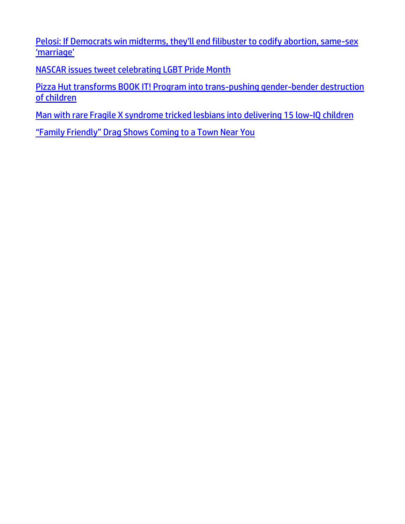[Pelosi: If Democrats win midterms, they'll end filibuster to codify abortion, same](https://www.lifesitenews.com/news/pelosi-if-democrats-win-midterms-theyll-end-filibuster-to-codify-abortion-same-sex-marriage/?utm_source=top_news&utm_campaign=usa)-sex ['marriage'](https://www.lifesitenews.com/news/pelosi-if-democrats-win-midterms-theyll-end-filibuster-to-codify-abortion-same-sex-marriage/?utm_source=top_news&utm_campaign=usa)

[NASCAR issues tweet celebrating LGBT Pride Month](https://link.theblaze.com/click/27908686.1156549/aHR0cHM6Ly93d3cudGhlYmxhemUuY29tL25ld3MvbmFzY2FyLXByaWRlLW1vbnRoLWxnYnQ_dXRtX3NvdXJjZT10aGVibGF6ZS1icmVha2luZyZ1dG1fbWVkaXVtPWVtYWlsJnV0bV9jYW1wYWlnbj0yMDIyMDYwMlNwb25zb3JlZFRyZW5kaW5nLVJldmVsYXRpb25NZWRpYSZ1dG1fdGVybT1BQ1RJVkUgTElTVCAtIFRoZUJsYXplIEJyZWFraW5nIE5ld3M/61f82015384ca325d2cdab60C94a01924)

[Pizza Hut transforms BOOK IT! Program into trans-pushing gender-bender destruction](https://www.naturalnews.com/2022-06-07-pizza-hut-bookit-transgender-brainwashing-destruction-children.html)  [of children](https://www.naturalnews.com/2022-06-07-pizza-hut-bookit-transgender-brainwashing-destruction-children.html)

[Man with rare Fragile X syndrome tricked lesbians into delivering 15 low-IQ children](https://www.naturalnews.com/2022-06-04-man-fragilex-tricked-lesbians-low-iq-children.html)

["Family Friendly" Drag Shows Coming to a Town Near You](https://welovetrump.com/2022/06/04/family-friendly-drag-shows-coming-to-a-town-near-you/)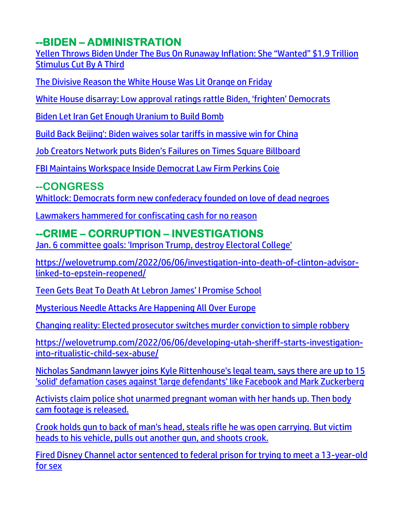## **--BIDEN – ADMINISTRATION**

[Yellen Throws Biden Under The Bus On Runaway Inflation: She "Wanted" \\$1.9 Trillion](https://www.zerohedge.com/markets/yellen-throws-biden-under-bus-runaway-inflation-she-wanted-19-trillion-stimulus-cut-third)  [Stimulus Cut By A Third](https://www.zerohedge.com/markets/yellen-throws-biden-under-bus-runaway-inflation-she-wanted-19-trillion-stimulus-cut-third)

[The Divisive Reason the White House Was Lit Orange on Friday](https://welovetrump.com/2022/06/04/the-divisive-reason-the-white-house-was-lit-orange-on-friday/)

[White House disarray: Low approval ratings rattle Biden, 'frighten' Democrats](https://ratherexposethem.org/2022/06/03/white-house-disarray-low-approval-ratings-rattle-biden-frighten-democrats/)

[Biden Let Iran Get Enough Uranium to Build Bomb](https://ratherexposethem.org/2022/06/03/biden-let-iran-get-enough-uranium-to-build-bomb/)

[Build Back Beijing': Biden waives solar tariffs in massive win for China](https://www.wnd.com/2022/06/build-back-beijing-biden-waives-solar-tariffs-massive-win-china/)

[Job Creators Network puts Biden's Failures on Times Square Billboard](https://delivery.email.saraacarter.com/GUIDARZE?id=153976=eh4CVwZWCQQBTAVUAF1QBgEBV1IBUgBXB1ZSC1hXUVpYV1NTClYGBQ8IBVQFDwUBU1AeXlxdAxEKDCRUVABaVBcBXQtPVAYGAwEKB1MPAwIOB1UDBgUaChURFEADThxcXA5bEFYXSR1SXVJbChdGVUVTA1dWQxIHE0sHXFROdG1wJnM0aSAPWlNMRQE=&fl=URZGFkBfHxxDVV9XC1xBRl5XERpdVAMMBksHXFROUFRQAVk=&ext=dD1leUpoYkdjaU9pSklVekkxTmlJc0luUjVjQ0k2SWtwWFZDSjkuZXlKd0lqcGJiblZzYkN4dWRXeHNMQ0pvZEhSd2N6b3ZMM05oY21GaFkyRnlkR1Z5TG1OdmJTOXFiMkl0WTNKbFlYUnZjbk10Ym1WMGQyOXlheTF3ZFhSekxXSnBaR1Z1Y3kxbVlXbHNkWEpsY3kxdmJpMTBhVzFsY3kxemNYVmhjbVV0WW1sc2JHSnZZWEprTHo5MWRHMWZjMjkxY21ObFBXcGxaVzVuSm1wbGJUMWpOV0V6T0RVM01HTXdZV1JqWTJObU9HRmlNMlJqT1dKaU56QXlNek5tTXlJc2JuVnNiQ3d4TEdaaGJITmxMR1poYkhObExDSmtaRFV3TnpNeVpDMHpZMlpoTFRRMVlqY3RPRFV4TVMwMlpXVXlZVEEyTUdFNE56TWlMQ0kwTmpZeVlqRTVNUzFrWTJZd0xUUmxOell0T1RnNVlpMDFOVFEwTWpnNE9USTJPVEVpTENJNFlXWTFOekE0TUMwNVl6RXpMVFJpWkRNdFlqZzJaaTB3WWpOak5XUm1PVEZtTVdJaUxDSm9kSFJ3Y3pvdkwzTmhjbUZoWTJGeWRHVnlMbU52YlM5cWIySXRZM0psWVhSdmNuTXRibVYwZDI5eWF5MXdkWFJ6TFdKcFpHVnVjeTFtWVdsc2RYSmxjeTF2YmkxMGFXMWxjeTF6Y1hWaGNtVXRZbWxzYkdKdllYSmtMeUlzSW1NM2NETmZNQ0lzSW1WdFlXbHNJaXdpUkZNaVhTd2lhV0YwSWpveE5qVTBNall4TXpZeWZRLlBnWmJpRlZ4N0FjeHR3MjBEU1gwUlVzSTVBbGM0bU5vYV9wZ1lKWlVhYlk=)

[FBI Maintains Workspace Inside Democrat Law Firm Perkins Coie](https://www.zerohedge.com/political/fbi-maintains-workspace-inside-democrat-law-firm-perkins-coie)

#### **--CONGRESS**

[Whitlock: Democrats form new confederacy founded on love of dead negroes](https://link.theblaze.com/click/27924823.1147509/aHR0cHM6Ly93d3cudGhlYmxhemUuY29tL2ZlYXJsZXNzL29wZWQvd2hpdGxvY2stZGVhZC1uZWdyb2VzLWNvbmZlZGVyYWN5P3V0bV9zb3VyY2U9dGhlYmxhemUtYnJlYWtpbmcmdXRtX21lZGl1bT1lbWFpbCZ1dG1fY2FtcGFpZ249MjAyMjA2MDJUcmVuZGluZy1XaGl0bG9ja0NvbmZlZGVyYWN5JnV0bV90ZXJtPUFDVElWRSBMSVNUIC0gVGhlQmxhemUgQnJlYWtpbmcgTmV3cw/61f82015384ca325d2cdab60Cc4e0e7b3)

[Lawmakers hammered for confiscating cash for no reason](https://www.wnd.com/2022/06/lawmakers-hammered-confiscating-cash-no-reason/)

## **--CRIME – CORRUPTION – INVESTIGATIONS**

[Jan. 6 committee goals: 'Imprison Trump, destroy Electoral College'](https://www.wnd.com/2022/06/jan-6-committee-goals-imprison-trump-destroy-electoral-college/)

[https://welovetrump.com/2022/06/06/investigation-into-death-of-clinton-advisor](https://welovetrump.com/2022/06/06/investigation-into-death-of-clinton-advisor-linked-to-epstein-reopened/)[linked-to-epstein-reopened/](https://welovetrump.com/2022/06/06/investigation-into-death-of-clinton-advisor-linked-to-epstein-reopened/)

[Teen Gets Beat To Death At Lebron James' I Promise School](https://welovetrump.com/2022/06/05/teen-gets-beat-to-death-at-lebron-james-i-promise-school/)

[Mysterious Needle Attacks Are Happening All Over Europe](https://welovetrump.com/2022/06/05/mysterious-needle-attacks-are-happening-all-over-europe/)

[Changing reality: Elected prosecutor switches murder conviction to simple robbery](https://www.wnd.com/2022/06/changing-reality-elected-prosecutor-switches-murder-conviction-simple-robbery/)

[https://welovetrump.com/2022/06/06/developing-utah-sheriff-starts-investigation](https://welovetrump.com/2022/06/06/developing-utah-sheriff-starts-investigation-into-ritualistic-child-sex-abuse/)[into-ritualistic-child-sex-abuse/](https://welovetrump.com/2022/06/06/developing-utah-sheriff-starts-investigation-into-ritualistic-child-sex-abuse/)

[Nicholas Sandmann lawyer joins Kyle Rittenhouse's legal team, says there are up to 15](https://link.theblaze.com/click/27958416.1037572/aHR0cHM6Ly93d3cudGhlYmxhemUuY29tL25ld3Mva3lsZS1yaXR0ZW5ob3VzZS1uaWNob2xhcy1zYW5kbWFubi1kZWZhbWF0aW9uLWxhd3N1aXQ_dXRtX3NvdXJjZT10aGVibGF6ZS1kYWlseUFNJnV0bV9tZWRpdW09ZW1haWwmdXRtX2NhbXBhaWduPURhaWx5LU5ld3NsZXR0ZXJfX0FNIDIwMjItMDYtMDYmdXRtX3Rlcm09QUNUSVZFIExJU1QgLSBUaGVCbGF6ZSBEYWlseSBBTQ/61f82015384ca325d2cdab60C5dbd63f2)  ['solid' defamation cases against 'large defendants' like Facebook and Mark Zuckerberg](https://link.theblaze.com/click/27958416.1037572/aHR0cHM6Ly93d3cudGhlYmxhemUuY29tL25ld3Mva3lsZS1yaXR0ZW5ob3VzZS1uaWNob2xhcy1zYW5kbWFubi1kZWZhbWF0aW9uLWxhd3N1aXQ_dXRtX3NvdXJjZT10aGVibGF6ZS1kYWlseUFNJnV0bV9tZWRpdW09ZW1haWwmdXRtX2NhbXBhaWduPURhaWx5LU5ld3NsZXR0ZXJfX0FNIDIwMjItMDYtMDYmdXRtX3Rlcm09QUNUSVZFIExJU1QgLSBUaGVCbGF6ZSBEYWlseSBBTQ/61f82015384ca325d2cdab60C5dbd63f2)

[Activists claim police shot unarmed pregnant woman with her hands up. Then body](https://link.theblaze.com/click/27922563.1137864/aHR0cHM6Ly93d3cudGhlYmxhemUuY29tL25ld3MvcG9saWNlLWNoYXJnZS1sZW9ubmEtaGFsZS1ib2R5LWNhbS1mb290YWdlLXNob3dzLWZpcmVhcm0_dXRtX3NvdXJjZT10aGVibGF6ZS1icmVha2luZyZ1dG1fbWVkaXVtPWVtYWlsJnV0bV9jYW1wYWlnbj0yMDIyMDYwM1Nwb25zb3JlZFRyZW5kaW5nLUdyaXA2JnV0bV90ZXJtPUFDVElWRSBMSVNUIC0gVGhlQmxhemUgQnJlYWtpbmcgTmV3cw/61f82015384ca325d2cdab60C7f4334c5)  [cam footage is released.](https://link.theblaze.com/click/27922563.1137864/aHR0cHM6Ly93d3cudGhlYmxhemUuY29tL25ld3MvcG9saWNlLWNoYXJnZS1sZW9ubmEtaGFsZS1ib2R5LWNhbS1mb290YWdlLXNob3dzLWZpcmVhcm0_dXRtX3NvdXJjZT10aGVibGF6ZS1icmVha2luZyZ1dG1fbWVkaXVtPWVtYWlsJnV0bV9jYW1wYWlnbj0yMDIyMDYwM1Nwb25zb3JlZFRyZW5kaW5nLUdyaXA2JnV0bV90ZXJtPUFDVElWRSBMSVNUIC0gVGhlQmxhemUgQnJlYWtpbmcgTmV3cw/61f82015384ca325d2cdab60C7f4334c5)

[Crook holds gun to back of man's head, steals rifle he was open carrying. But victim](https://link.theblaze.com/click/27939131.1149186/aHR0cHM6Ly93d3cudGhlYmxhemUuY29tL25ld3MvY3Jvb2stc3RlYWxzLXJpZmxlLWdldHMtc2hvdD91dG1fc291cmNlPXRoZWJsYXplLWJyZWFraW5nJnV0bV9tZWRpdW09ZW1haWwmdXRtX2NhbXBhaWduPTIwMjIwNjAzVHJlbmRpbmctRmF1Y2lPcmlnaW5zJnV0bV90ZXJtPUFDVElWRSBMSVNUIC0gVGhlQmxhemUgQnJlYWtpbmcgTmV3cw/61f82015384ca325d2cdab60Ce450874e)  [heads to his vehicle, pulls out another gun, and shoots crook.](https://link.theblaze.com/click/27939131.1149186/aHR0cHM6Ly93d3cudGhlYmxhemUuY29tL25ld3MvY3Jvb2stc3RlYWxzLXJpZmxlLWdldHMtc2hvdD91dG1fc291cmNlPXRoZWJsYXplLWJyZWFraW5nJnV0bV9tZWRpdW09ZW1haWwmdXRtX2NhbXBhaWduPTIwMjIwNjAzVHJlbmRpbmctRmF1Y2lPcmlnaW5zJnV0bV90ZXJtPUFDVElWRSBMSVNUIC0gVGhlQmxhemUgQnJlYWtpbmcgTmV3cw/61f82015384ca325d2cdab60Ce450874e)

[Fired Disney Channel actor sentenced to federal prison for trying to meet a 13-year-old](https://link.theblaze.com/click/27958416.1037572/aHR0cHM6Ly93d3cudGhlYmxhemUuY29tL25ld3MvZGlzbmV5LWNoYW5uZWwtYWN0b3Itc2V4LW1pbm9yLXByaXNvbj91dG1fc291cmNlPXRoZWJsYXplLWRhaWx5QU0mdXRtX21lZGl1bT1lbWFpbCZ1dG1fY2FtcGFpZ249RGFpbHktTmV3c2xldHRlcl9fQU0gMjAyMi0wNi0wNiZ1dG1fdGVybT1BQ1RJVkUgTElTVCAtIFRoZUJsYXplIERhaWx5IEFN/61f82015384ca325d2cdab60Cfd36a876)  [for sex](https://link.theblaze.com/click/27958416.1037572/aHR0cHM6Ly93d3cudGhlYmxhemUuY29tL25ld3MvZGlzbmV5LWNoYW5uZWwtYWN0b3Itc2V4LW1pbm9yLXByaXNvbj91dG1fc291cmNlPXRoZWJsYXplLWRhaWx5QU0mdXRtX21lZGl1bT1lbWFpbCZ1dG1fY2FtcGFpZ249RGFpbHktTmV3c2xldHRlcl9fQU0gMjAyMi0wNi0wNiZ1dG1fdGVybT1BQ1RJVkUgTElTVCAtIFRoZUJsYXplIERhaWx5IEFN/61f82015384ca325d2cdab60Cfd36a876)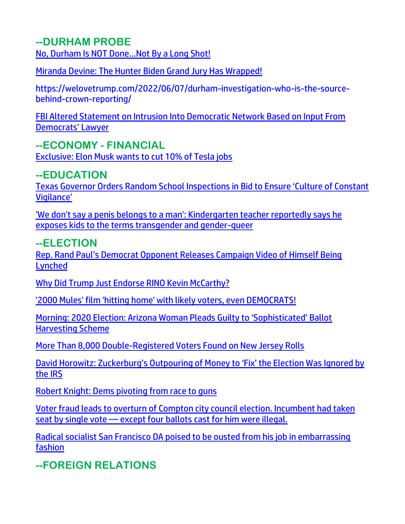#### **--DURHAM PROBE**

[No, Durham Is NOT Done…Not By a Long Shot!](https://welovetrump.com/2022/06/02/no-durham-is-not-done-not-by-a-long-shot/)

[Miranda Devine: The Hunter Biden Grand Jury Has Wrapped!](https://welovetrump.com/2022/06/02/miranda-devine-the-hunter-biden-grand-jury-has-wrapped/)

https://welovetrump.com/2022/06/07/durham-investigation-who-is-the-sourcebehind-crown-reporting/

[FBI Altered Statement on Intrusion Into Democratic Network Based on Input From](https://lists.youmaker.com/links/P0UGPTo8I6/Jlid8tcrj/7xAbPNiP2/nRwLz5A1Zy)  [Democrats' Lawyer](https://lists.youmaker.com/links/P0UGPTo8I6/Jlid8tcrj/7xAbPNiP2/nRwLz5A1Zy) 

**--ECONOMY - FINANCIAL**

[Exclusive: Elon Musk wants to cut 10% of Tesla jobs](https://www.reuters.com/technology/exclusive-musk-says-tesla-needs-cut-staff-by-10-pauses-all-hiring-2022-06-03/)

#### **--EDUCATION**

[Texas Governor Orders Random School Inspections in Bid to Ensure 'Culture of Constant](https://lists.youmaker.com/links/P0UGPTo8I6/Jlid8tcrj/7xAbPNiP2/qQ0tHH8M1M)  [Vigilance'](https://lists.youmaker.com/links/P0UGPTo8I6/Jlid8tcrj/7xAbPNiP2/qQ0tHH8M1M)

['We don't say a penis belongs to a man': Kindergarten teacher reportedly says he](https://www.theblaze.com/news/kindergarten-teacher-lgbt-gender-ideology)  [exposes kids to the terms transgender and gender-queer](https://www.theblaze.com/news/kindergarten-teacher-lgbt-gender-ideology) 

#### **--ELECTION**

[Rep. Rand Paul's Democrat Opponent Releases Campaign Video of Himself Being](https://welovetrump.com/2022/06/02/rep-rand-pauls-democrat-opponent-releases-campaign-video-of-himself-being-lynched/)  [Lynched](https://welovetrump.com/2022/06/02/rep-rand-pauls-democrat-opponent-releases-campaign-video-of-himself-being-lynched/)

[Why Did Trump Just Endorse RINO Kevin McCarthy?](https://welovetrump.com/2022/06/06/why-did-trump-just-endorse-rino-kevin-mccarthy/)

['2000 Mules' film 'hitting home' with likely voters, even DEMOCRATS!](https://www.wnd.com/2022/06/2000-mules-film-hitting-home-likely-american-voters/)

Morning: 2020 Election: Arizona Woman Pleads Guilty to 'Sophisticated' Ballot Harvesting Scheme

More [Than 8,000 Double-Registered Voters Found on New Jersey Rolls](https://lists.youmaker.com/links/84g4yBVh5Z/Jlid8tcrj/7xAbPNiP2/dIxQxPPAfk)

[David Horowitz: Zuckerburg's Outpouring of Money to 'Fix' the Election Was Ignored by](https://lists.youmaker.com/links/ronNAKQlq9/Jlid8tcrj/7xAbPNiP2/75HDyUS6pVO)  [the](https://lists.youmaker.com/links/ronNAKQlq9/Jlid8tcrj/7xAbPNiP2/75HDyUS6pVO) IRS

[Robert Knight: Dems pivoting from race to guns](https://inform.afa.net/optiext/optiextension.dll?ID=bJIbHK37MAhj9W23Wm%2B04FZ6uOAF9kXjLg%2BO9qGzyLWWMbTXOFp3i6n1PNM6lc5W45_bnp6Y0BwbcOHRVXeclcvUdEP1%2B3hqVqRvoLbb)

[Voter fraud leads to overturn of Compton city council election. Incumbent had taken](https://link.theblaze.com/click/27903390.924864/aHR0cHM6Ly93d3cudGhlYmxhemUuY29tL25ld3Mvdm90ZXItZnJhdWQtY29tcHRvbi1lbGVjdGlvbi1vdmVydHVybmVkP3V0bV9zb3VyY2U9dGhlYmxhemUtN0RheVRyZW5kaW5nVGVzdCZ1dG1fbWVkaXVtPWVtYWlsJnV0bV9jYW1wYWlnbj1UaGUgQmxhemUgUE0gVHJlbmRpbmcgMjAyMi0wNS0zMSZ1dG1fdGVybT1BQ1RJVkUgTElTVCAtIDcgRGF5IEVuZ2FnZW1lbnQ/61f82015384ca325d2cdab60C296292ab)  seat by single vote — except four ballots [cast for him were illegal.](https://link.theblaze.com/click/27903390.924864/aHR0cHM6Ly93d3cudGhlYmxhemUuY29tL25ld3Mvdm90ZXItZnJhdWQtY29tcHRvbi1lbGVjdGlvbi1vdmVydHVybmVkP3V0bV9zb3VyY2U9dGhlYmxhemUtN0RheVRyZW5kaW5nVGVzdCZ1dG1fbWVkaXVtPWVtYWlsJnV0bV9jYW1wYWlnbj1UaGUgQmxhemUgUE0gVHJlbmRpbmcgMjAyMi0wNS0zMSZ1dG1fdGVybT1BQ1RJVkUgTElTVCAtIDcgRGF5IEVuZ2FnZW1lbnQ/61f82015384ca325d2cdab60C296292ab)

[Radical socialist San Francisco DA poised to be ousted from his job in embarrassing](https://link.theblaze.com/click/27911121.938694/aHR0cHM6Ly93d3cudGhlYmxhemUuY29tL25ld3Mvc2FuLWZyYW5jaXNjby1kYS1yZWNhbGwtZWZmb3J0P3V0bV9zb3VyY2U9dGhlYmxhemUtN0RheVRyZW5kaW5nVGVzdCZ1dG1fbWVkaXVtPWVtYWlsJnV0bV9jYW1wYWlnbj1BZnRlcm5vb24gQXV0byBUcmVuZGluZyA3IERheSBFbmdhZ2VkIDIwMjItMDYtMDEmdXRtX3Rlcm09QUNUSVZFIExJU1QgLSA3IERheSBFbmdhZ2VtZW50/61f82015384ca325d2cdab60Cb877a481)  [fashion](https://link.theblaze.com/click/27911121.938694/aHR0cHM6Ly93d3cudGhlYmxhemUuY29tL25ld3Mvc2FuLWZyYW5jaXNjby1kYS1yZWNhbGwtZWZmb3J0P3V0bV9zb3VyY2U9dGhlYmxhemUtN0RheVRyZW5kaW5nVGVzdCZ1dG1fbWVkaXVtPWVtYWlsJnV0bV9jYW1wYWlnbj1BZnRlcm5vb24gQXV0byBUcmVuZGluZyA3IERheSBFbmdhZ2VkIDIwMjItMDYtMDEmdXRtX3Rlcm09QUNUSVZFIExJU1QgLSA3IERheSBFbmdhZ2VtZW50/61f82015384ca325d2cdab60Cb877a481)

**--FOREIGN RELATIONS**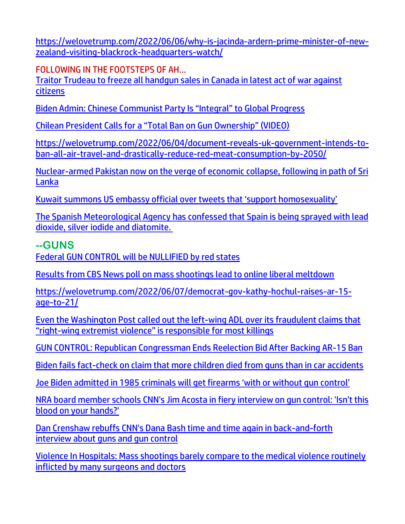[https://welovetrump.com/2022/06/06/why-is-jacinda-ardern-prime-minister-of-new](https://welovetrump.com/2022/06/06/why-is-jacinda-ardern-prime-minister-of-new-zealand-visiting-blackrock-headquarters-watch/)[zealand-visiting-blackrock-headquarters-watch/](https://welovetrump.com/2022/06/06/why-is-jacinda-ardern-prime-minister-of-new-zealand-visiting-blackrock-headquarters-watch/)

FOLLOWING IN THE FOOTSTEPS OF AH…

[Traitor Trudeau to freeze all handgun sales in Canada in latest act of war against](https://ce-publicdy.naturalnews.com/ct.asp?id=E5BCAFA6C8EEF366277A44CF1F0276F5AACA564A5B06169E77428F5F4C4E426D7073A4F28A335F468BDC5CB2E1E099E8&ct=4aeUs2AAAABCWmgzMUFZJlNZT%2fhIwQAAGhmAAAP6EC%2fn3pAgAEjB6ag9T1Hqep%2bpqNqBFPymowj0QyBpjzUVHhStpf3qXbkYkKYcQ25HFmrTtwnyrEmiHkZPMiKjxrzVILuE0F8y3%2b3zrWVnlHQ4rGI7OBdyRThQkE%2f4SME%3d)  [citizens](https://ce-publicdy.naturalnews.com/ct.asp?id=E5BCAFA6C8EEF366277A44CF1F0276F5AACA564A5B06169E77428F5F4C4E426D7073A4F28A335F468BDC5CB2E1E099E8&ct=4aeUs2AAAABCWmgzMUFZJlNZT%2fhIwQAAGhmAAAP6EC%2fn3pAgAEjB6ag9T1Hqep%2bpqNqBFPymowj0QyBpjzUVHhStpf3qXbkYkKYcQ25HFmrTtwnyrEmiHkZPMiKjxrzVILuE0F8y3%2b3zrWVnlHQ4rGI7OBdyRThQkE%2f4SME%3d)

[Biden Admin: Chinese Communist Party Is "Integral" to Global Progress](https://100percentfedup.com/biden-admin-chinese-communist-party-is-integral-to-global-progress/)

[Chilean President Calls for a "Total Ban on Gun Ownership" \(VIDEO\)](https://welovetrump.com/2022/06/02/chilean-president-calls-for-a-total-ban-on-gun-ownership-video/)

[https://welovetrump.com/2022/06/04/document-reveals-uk-government-intends-to](https://welovetrump.com/2022/06/04/document-reveals-uk-government-intends-to-ban-all-air-travel-and-drastically-reduce-red-meat-consumption-by-2050/)[ban-all-air-travel-and-drastically-reduce-red-meat-consumption-by-2050/](https://welovetrump.com/2022/06/04/document-reveals-uk-government-intends-to-ban-all-air-travel-and-drastically-reduce-red-meat-consumption-by-2050/)

[Nuclear-armed Pakistan now on the verge of economic collapse, following in path of Sri](https://www.naturalnews.com/2022-06-03-nuclear-armed-pakistan-on-verge-of-economic-collapse.html)  [Lanka](https://www.naturalnews.com/2022-06-03-nuclear-armed-pakistan-on-verge-of-economic-collapse.html)

[Kuwait summons US embassy official over tweets that 'support homosexuality'](https://english.alaraby.co.uk/news/kuwait-summons-us-official-over-pro-homosexuality-tweets)

[The Spanish Meteorological Agency has confessed that Spain is being sprayed with lead](https://coldwelliantimes.com/english/the-spanish-meteorological-agency-has-confessed-that-spain-is-being-sprayed-with-lead-dioxide-silver-iodide-and-diatomite/)  [dioxide, silver iodide and diatomite.](https://coldwelliantimes.com/english/the-spanish-meteorological-agency-has-confessed-that-spain-is-being-sprayed-with-lead-dioxide-silver-iodide-and-diatomite/)

#### **--GUNS**

[Federal GUN CONTROL will be NULLIFIED by red states](https://www.brighteon.com/bb91a5e7-f75a-470a-ac04-0e4dbd4f7294)

[Results from CBS News poll on mass shootings lead to online liberal meltdown](https://link.theblaze.com/click/27969978.1058211/aHR0cHM6Ly93d3cudGhlYmxhemUuY29tL25ld3MvY2JzLXBvbGwtbWFzcy1zaG9vdGluZ3MtcmVwdWJsaWNhbnM_dXRtX3NvdXJjZT10aGVibGF6ZS1kYWlseUFNJnV0bV9tZWRpdW09ZW1haWwmdXRtX2NhbXBhaWduPURhaWx5LU5ld3NsZXR0ZXJfX0FNIDIwMjItMDYtMDcmdXRtX3Rlcm09QUNUSVZFIExJU1QgLSBUaGVCbGF6ZSBEYWlseSBBTQ/61f82015384ca325d2cdab60Cf73b4833)

[https://welovetrump.com/2022/06/07/democrat-gov-kathy-hochul-raises-ar-15](https://welovetrump.com/2022/06/07/democrat-gov-kathy-hochul-raises-ar-15-age-to-21/) [age-to-21/](https://welovetrump.com/2022/06/07/democrat-gov-kathy-hochul-raises-ar-15-age-to-21/)

[Even the Washington Post called out the left-wing ADL over its fraudulent claims that](https://www.naturalnews.com/2022-06-05-washington-post-called-out-adl-fraudulent-claims-right-wing-extremist-violence.html)  "right-[wing extremist violence" is responsible for most killings](https://www.naturalnews.com/2022-06-05-washington-post-called-out-adl-fraudulent-claims-right-wing-extremist-violence.html)

[GUN CONTROL: Republican Congressman Ends Reelection Bid After Backing AR-15 Ban](https://lists.youmaker.com/links/0MFhGPQUk6/Jlid8tcrj/7xAbPNiP2/uUUM5I604t)

[Biden fails fact-check on claim that more children died from guns than in car accidents](https://link.theblaze.com/click/27950050.1157608/aHR0cHM6Ly93d3cudGhlYmxhemUuY29tL25ld3MvYmlkZW4tZ3Vucy1jaGlsZHJlbi1kZWF0aHMtY2Fycz91dG1fc291cmNlPXRoZWJsYXplLWJyZWFraW5nJnV0bV9tZWRpdW09ZW1haWwmdXRtX2NhbXBhaWduPU5ldy1UcmVuZGluZy1TdG9yeV9XRUVLRU5EIDIwMjItMDYtMDQmdXRtX3Rlcm09QUNUSVZFIExJU1QgLSBUaGVCbGF6ZSBCcmVha2luZyBOZXdz/61f82015384ca325d2cdab60C1ca05de8)

[Joe Biden admitted in 1985 criminals will get firearms 'with or without gun control'](https://www.naturalnews.com/2022-06-03-biden-admitted-criminals-get-firearms-without-gun-control.html)

[NRA board member schools CNN's Jim Acosta in fiery interview on gun control: 'Isn't this](https://link.theblaze.com/click/27899122.935463/aHR0cHM6Ly93d3cudGhlYmxhemUuY29tL25ld3MvamltLWFjb3N0YS1ucmEtYm9hcmQtbWVtYmVyLWd1bi1jb250cm9sP3V0bV9zb3VyY2U9dGhlYmxhemUtN0RheVRyZW5kaW5nVGVzdCZ1dG1fbWVkaXVtPWVtYWlsJnV0bV9jYW1wYWlnbj1BZnRlcm5vb24gQXV0byBUcmVuZGluZyA3IERheSBFbmdhZ2VkIDIwMjItMDUtMzEmdXRtX3Rlcm09QUNUSVZFIExJU1QgLSA3IERheSBFbmdhZ2VtZW50/61f82015384ca325d2cdab60C4b294316)  [blood on your hands?'](https://link.theblaze.com/click/27899122.935463/aHR0cHM6Ly93d3cudGhlYmxhemUuY29tL25ld3MvamltLWFjb3N0YS1ucmEtYm9hcmQtbWVtYmVyLWd1bi1jb250cm9sP3V0bV9zb3VyY2U9dGhlYmxhemUtN0RheVRyZW5kaW5nVGVzdCZ1dG1fbWVkaXVtPWVtYWlsJnV0bV9jYW1wYWlnbj1BZnRlcm5vb24gQXV0byBUcmVuZGluZyA3IERheSBFbmdhZ2VkIDIwMjItMDUtMzEmdXRtX3Rlcm09QUNUSVZFIExJU1QgLSA3IERheSBFbmdhZ2VtZW50/61f82015384ca325d2cdab60C4b294316)

[Dan Crenshaw rebuffs CNN's Dana Bash time and time again in back-and-forth](https://link.theblaze.com/click/27899122.935463/aHR0cHM6Ly93d3cudGhlYmxhemUuY29tL25ld3MvZGFuLWNyZW5zaGF3LWNubi1kYW5hLWJhc2gtZ3Vucz91dG1fc291cmNlPXRoZWJsYXplLTdEYXlUcmVuZGluZ1Rlc3QmdXRtX21lZGl1bT1lbWFpbCZ1dG1fY2FtcGFpZ249QWZ0ZXJub29uIEF1dG8gVHJlbmRpbmcgNyBEYXkgRW5nYWdlZCAyMDIyLTA1LTMxJnV0bV90ZXJtPUFDVElWRSBMSVNUIC0gNyBEYXkgRW5nYWdlbWVudA/61f82015384ca325d2cdab60C9aa83904)  [interview about guns and gun control](https://link.theblaze.com/click/27899122.935463/aHR0cHM6Ly93d3cudGhlYmxhemUuY29tL25ld3MvZGFuLWNyZW5zaGF3LWNubi1kYW5hLWJhc2gtZ3Vucz91dG1fc291cmNlPXRoZWJsYXplLTdEYXlUcmVuZGluZ1Rlc3QmdXRtX21lZGl1bT1lbWFpbCZ1dG1fY2FtcGFpZ249QWZ0ZXJub29uIEF1dG8gVHJlbmRpbmcgNyBEYXkgRW5nYWdlZCAyMDIyLTA1LTMxJnV0bV90ZXJtPUFDVElWRSBMSVNUIC0gNyBEYXkgRW5nYWdlbWVudA/61f82015384ca325d2cdab60C9aa83904)

[Violence In Hospitals: Mass shootings barely compare to the medical violence routinely](https://ce-publicdy.naturalnews.com/ct.asp?id=4BE1342FA56C6DF68534D2C7E20ACAD2D5A55AF18425BA72650E62D6CAFF92CF552FBDF5456A4B7D9E8EA807DF4FB646&ct=4aeUs4cAAABCWmgzMUFZJlNZCx7vIgAAH5mAAAPRED7n36AgAGoinqeI0gzIRk0Gqenqaaj1Gm1ADRE8DXVpncdwhbB6p7SaiLEIRtKGLlI8MFycnLgM4puPAxCas9OTW4j2wrKxYNKJhczNXIgN8qUeZ8BoUarxq7xXJTZYURqEhgqj73%2bLuSKcKEgFj3eRAA%3d%3d)  [inflicted by many surgeons and doctors](https://ce-publicdy.naturalnews.com/ct.asp?id=4BE1342FA56C6DF68534D2C7E20ACAD2D5A55AF18425BA72650E62D6CAFF92CF552FBDF5456A4B7D9E8EA807DF4FB646&ct=4aeUs4cAAABCWmgzMUFZJlNZCx7vIgAAH5mAAAPRED7n36AgAGoinqeI0gzIRk0Gqenqaaj1Gm1ADRE8DXVpncdwhbB6p7SaiLEIRtKGLlI8MFycnLgM4puPAxCas9OTW4j2wrKxYNKJhczNXIgN8qUeZ8BoUarxq7xXJTZYURqEhgqj73%2bLuSKcKEgFj3eRAA%3d%3d)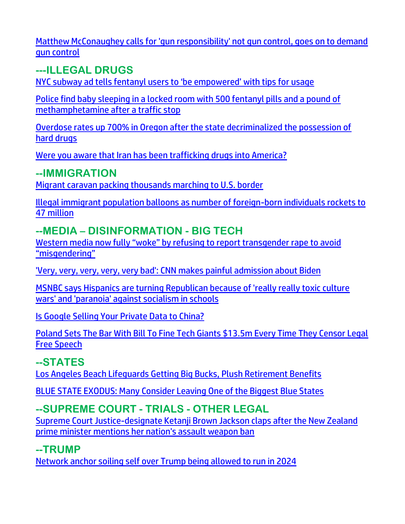[Matthew McConaughey calls for 'gun responsibility' not gun control, goes on to demand](https://link.theblaze.com/click/27963904.950111/aHR0cHM6Ly93d3cudGhlYmxhemUuY29tL25ld3MvbWF0dGhldy1tY2NvbmF1Z2hleS1ndW4tcmVzcG9uc2liaWxpdHktZ3VuLWNvbnRyb2w_dXRtX3NvdXJjZT10aGVibGF6ZS03RGF5VHJlbmRpbmdUZXN0JnV0bV9tZWRpdW09ZW1haWwmdXRtX2NhbXBhaWduPUFmdGVybm9vbiBBdXRvIFRyZW5kaW5nIDcgRGF5IEVuZ2FnZWQgMjAyMi0wNi0wNiZ1dG1fdGVybT1BQ1RJVkUgTElTVCAtIDcgRGF5IEVuZ2FnZW1lbnQ/61f82015384ca325d2cdab60C06f068ee)  [gun control](https://link.theblaze.com/click/27963904.950111/aHR0cHM6Ly93d3cudGhlYmxhemUuY29tL25ld3MvbWF0dGhldy1tY2NvbmF1Z2hleS1ndW4tcmVzcG9uc2liaWxpdHktZ3VuLWNvbnRyb2w_dXRtX3NvdXJjZT10aGVibGF6ZS03RGF5VHJlbmRpbmdUZXN0JnV0bV9tZWRpdW09ZW1haWwmdXRtX2NhbXBhaWduPUFmdGVybm9vbiBBdXRvIFRyZW5kaW5nIDcgRGF5IEVuZ2FnZWQgMjAyMi0wNi0wNiZ1dG1fdGVybT1BQ1RJVkUgTElTVCAtIDcgRGF5IEVuZ2FnZW1lbnQ/61f82015384ca325d2cdab60C06f068ee)

**---ILLEGAL DRUGS** NYC subway ad tells fentanyl use[rs to 'be empowered' with tips for usage](https://delivery.email.saraacarter.com/GUIDARZE?id=153976=eh4CVwZWCQQBTAsEUAxQVVYGUFIFUgBWU1IHCwFYCg0OUANRVlMCVVYDUAQHWwRWDwAeXlxdAxEKDCRUVABaVBcBXQtPVAYGAwABAFEPAwYFBFANAwcaChURFEADThxcXA5bEFYXSR1SXVJbChdGVUVTA1dWQxIHE0sHXFROdG1wJnM0aSAPWlNMRQE=&fl=URZGFkBfHxxDVV9XC1xBRl5XERpdVAMMBksHXFROUFRQAVk=&ext=dD1leUpoYkdjaU9pSklVekkxTmlJc0luUjVjQ0k2SWtwWFZDSjkuZXlKd0lqcGJiblZzYkN4dWRXeHNMQ0pvZEhSd2N6b3ZMM05oY21GaFkyRnlkR1Z5TG1OdmJTOXVlV010YzNWaWQyRjVMV0ZrTFhSbGJHeHpMV1psYm5SaGJubHNMWFZ6WlhKekxYUnZMV0psTFdWdGNHOTNaWEpsWkMxM2FYUm9MWFJwY0hNdFptOXlMWFZ6WVdkbEx6OTFkRzFmYzI5MWNtTmxQV3BsWlc1bkptcGxiVDFqTldFek9EVTNNR013WVdSalkyTm1PR0ZpTTJSak9XSmlOekF5TXpObU15SXNiblZzYkN3eExHWmhiSE5sTEdaaGJITmxMQ0prWkRVd056TXlaQzB6WTJaaExUUTFZamN0T0RVeE1TMDJaV1V5WVRBMk1HRTROek1pTENJNFpUSTBNRGRoTUMxaVpqY3hMVFExTkdVdE9ETmtZUzFpWWpNM1lqbG1aV0kzWm1ZaUxDSTRZV1kxTnpBNE1DMDVZekV6TFRSaVpETXRZamcyWmkwd1lqTmpOV1JtT1RGbU1XSWlMQ0pvZEhSd2N6b3ZMM05oY21GaFkyRnlkR1Z5TG1OdmJTOXVlV010YzNWaWQyRjVMV0ZrTFhSbGJHeHpMV1psYm5SaGJubHNMWFZ6WlhKekxYUnZMV0psTFdWdGNHOTNaWEpsWkMxM2FYUm9MWFJwY0hNdFptOXlMWFZ6WVdkbEx5SXNJbU0zY0ROZk1DSXNJbVZ0WVdsc0lpd2lSRk1pWFN3aWFXRjBJam94TmpVME1EZzROakV3ZlEuNS1iUUJuSE43WFR5U0dkOGoxSnR6ME1OR0dzYjlxOHV6RmM5TkJBQkFNWQ==)

[Police find baby sleeping in a locked room with 500 fentanyl pills and a pound of](https://link.theblaze.com/click/27951504.1033137/aHR0cHM6Ly93d3cudGhlYmxhemUuY29tL25ld3MvcHJlc2NvdHQtYmFieS1mZW50YW55bC1tZXRoLXJvb20_dXRtX3NvdXJjZT10aGVibGF6ZS1kYWlseVBNJnV0bV9tZWRpdW09ZW1haWwmdXRtX2NhbXBhaWduPURhaWx5LU5ld3NsZXR0ZXJfX1BNIDIwMjItMDYtMDQmdXRtX3Rlcm09QUNUSVZFIExJU1QgLSBUaGVCbGF6ZSBEYWlseSBQTQ/61f82015384ca325d2cdab60C77105701)  [methamphetamine after a traffic stop](https://link.theblaze.com/click/27951504.1033137/aHR0cHM6Ly93d3cudGhlYmxhemUuY29tL25ld3MvcHJlc2NvdHQtYmFieS1mZW50YW55bC1tZXRoLXJvb20_dXRtX3NvdXJjZT10aGVibGF6ZS1kYWlseVBNJnV0bV9tZWRpdW09ZW1haWwmdXRtX2NhbXBhaWduPURhaWx5LU5ld3NsZXR0ZXJfX1BNIDIwMjItMDYtMDQmdXRtX3Rlcm09QUNUSVZFIExJU1QgLSBUaGVCbGF6ZSBEYWlseSBQTQ/61f82015384ca325d2cdab60C77105701)

[Overdose rates up 700% in Oregon after the state decriminalized the possession of](https://link.theblaze.com/click/27951504.1033137/aHR0cHM6Ly93d3cudGhlYmxhemUuY29tL25ld3MvLTI2NTc0NTgxMDc_dXRtX3NvdXJjZT10aGVibGF6ZS1kYWlseVBNJnV0bV9tZWRpdW09ZW1haWwmdXRtX2NhbXBhaWduPURhaWx5LU5ld3NsZXR0ZXJfX1BNIDIwMjItMDYtMDQmdXRtX3Rlcm09QUNUSVZFIExJU1QgLSBUaGVCbGF6ZSBEYWlseSBQTQ/61f82015384ca325d2cdab60C205f200e)  [hard drugs](https://link.theblaze.com/click/27951504.1033137/aHR0cHM6Ly93d3cudGhlYmxhemUuY29tL25ld3MvLTI2NTc0NTgxMDc_dXRtX3NvdXJjZT10aGVibGF6ZS1kYWlseVBNJnV0bV9tZWRpdW09ZW1haWwmdXRtX2NhbXBhaWduPURhaWx5LU5ld3NsZXR0ZXJfX1BNIDIwMjItMDYtMDQmdXRtX3Rlcm09QUNUSVZFIExJU1QgLSBUaGVCbGF6ZSBEYWlseSBQTQ/61f82015384ca325d2cdab60C205f200e)

[Were you aware that Iran has been trafficking drugs into America?](https://inform.afa.net/optiext/optiextension.dll?ID=fNMfJaiaubMBoIfdVCLgWnAvANJEDaOfu28SoArt_or1Ns81SY9u7j%2BkCE2s4aJQCI2EJ2mGapDXlygB2JH4x%2BmLJlkEqJxmBqLAWJfu)

#### **--IMMIGRATION**

[Migrant caravan packing thousands marching to U.S. border](https://www.wnd.com/2022/06/migrant-caravan-packing-thousands-marching-u-s-border/)

[Illegal immigrant population balloons as number of foreign-born individuals rockets to](https://www.rsbnetwork.com/news/illegal-immigrant-population-balloons-as-number-of-foreign-born-individuals-rockets-to-47-million/)  [47 million](https://www.rsbnetwork.com/news/illegal-immigrant-population-balloons-as-number-of-foreign-born-individuals-rockets-to-47-million/)

## **--MEDIA – DISINFORMATION - BIG TECH**

Western [media now fully "woke" by refusing to report transgender rape to avoid](https://www.naturalnews.com/2022-06-06-western-media-refusing-to-report-transgender-rape.html)  ["misgendering"](https://www.naturalnews.com/2022-06-06-western-media-refusing-to-report-transgender-rape.html)

['Very, very, very, very, very bad': CNN makes painful admission about Biden](https://www.wnd.com/2022/06/bad-cnn-makes-painful-admission-biden/)

[MSNBC says Hispanics are turning Republican because of 'really really toxic culture](https://link.theblaze.com/click/27922563.1137864/aHR0cHM6Ly93d3cudGhlYmxhemUuY29tL25ld3MvbXNuYmMtaGlzcGFuaWNzLWdvcC1jdWx0dXJlLXdhcj91dG1fc291cmNlPXRoZWJsYXplLWJyZWFraW5nJnV0bV9tZWRpdW09ZW1haWwmdXRtX2NhbXBhaWduPTIwMjIwNjAzU3BvbnNvcmVkVHJlbmRpbmctR3JpcDYmdXRtX3Rlcm09QUNUSVZFIExJU1QgLSBUaGVCbGF6ZSBCcmVha2luZyBOZXdz/61f82015384ca325d2cdab60Cadfcd722)  [wars' and 'paranoia' against socialism in schools](https://link.theblaze.com/click/27922563.1137864/aHR0cHM6Ly93d3cudGhlYmxhemUuY29tL25ld3MvbXNuYmMtaGlzcGFuaWNzLWdvcC1jdWx0dXJlLXdhcj91dG1fc291cmNlPXRoZWJsYXplLWJyZWFraW5nJnV0bV9tZWRpdW09ZW1haWwmdXRtX2NhbXBhaWduPTIwMjIwNjAzU3BvbnNvcmVkVHJlbmRpbmctR3JpcDYmdXRtX3Rlcm09QUNUSVZFIExJU1QgLSBUaGVCbGF6ZSBCcmVha2luZyBOZXdz/61f82015384ca325d2cdab60Cadfcd722)

[Is Google Selling Your Private Data to China?](https://lists.youmaker.com/links/0MFhGPQUk6/Jlid8tcrj/7xAbPNiP2/q6PRE55yC3) 

[Poland Sets The Bar With Bill To Fine Tech Giants \\$13.5m Every Time They Censor Legal](https://www.wakingtimes.com/poland-sets-the-bar-with-bill-to-fine-tech-giants-13-5m-every-time-they-censor-legal-free-speech/)  [Free Speech](https://www.wakingtimes.com/poland-sets-the-bar-with-bill-to-fine-tech-giants-13-5m-every-time-they-censor-legal-free-speech/)

## **--STATES**

[Los Angeles Beach Lifeguards Getting Big Bucks, Plush Retirement Benefits](https://lists.youmaker.com/links/6ucyaowUBU/Jlid8tcrj/7xAbPNiP2/dkbGTICq5T)

[BLUE STATE EXODUS: Many Consider Leaving One of the Biggest Blue States](https://lists.youmaker.com/links/0MFhGPQUk6/Jlid8tcrj/7xAbPNiP2/lsVBh3GLol)

## **--SUPREME COURT - TRIALS - OTHER LEGAL**

[Supreme Court Justice-designate Ketanji Brown Jackson claps after the New Zealand](https://www.theblaze.com/news/ketanji-brown-jackson-clap-assault-weapons)  [prime minister mentions her nation's assault weapon ban](https://www.theblaze.com/news/ketanji-brown-jackson-clap-assault-weapons) 

## **--TRUMP**

[Network anchor soiling self over Trump being allowed to run in 2024](https://www.wnd.com/2022/06/network-anchor-soiling-self-trump-allowed-run-2024/)